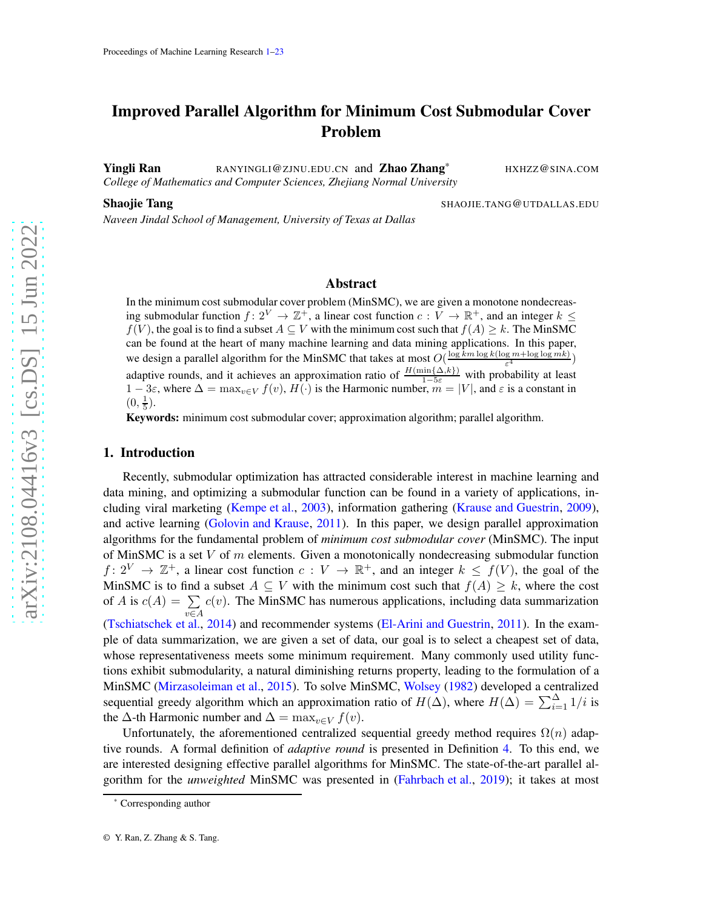# Improved Parallel Algorithm for Minimum Cost Submodular Cover Problem

Yingli Ran @ZJNU.EDU.CN and Zhao Zhang \* HXHZZ @SINA .COM *College of Mathematics and Computer Sciences, Zhejiang Normal University*

Shaojie Tang

<span id="page-0-0"></span>.TANG @UTDALLAS .EDU

*Naveen Jindal School of Management, University of Texas at Dallas*

# Abstract

In the minimum cost submodular cover problem (MinSMC), we are given a monotone nondecreasing submodular function  $f: 2^V \to \mathbb{Z}^+$ , a linear cost function  $c: V \to \mathbb{R}^+$ , and an integer  $k \leq$  $f(V)$ , the goal is to find a subset  $A \subseteq V$  with the minimum cost such that  $f(A) \geq k$ . The MinSMC can be found at the heart of many machine learning and data mining applications. In this paper, we design a parallel algorithm for the MinSMC that takes at most  $O(\frac{\log km \log k (\log m + \log \log mk)}{\epsilon^4})$  $\frac{g m + \log \log m \kappa)}{\varepsilon^4}$ adaptive rounds, and it achieves an approximation ratio of  $\frac{H(\min\{\Delta,k\})}{1-5\varepsilon}$  $\frac{\sin{\{\Delta, \kappa\}}}{1 - 5\varepsilon}$  with probability at least  $1-3\varepsilon$ , where  $\Delta = \max_{v \in V} f(v)$ ,  $H(\cdot)$  is the Harmonic number,  $m = |V|$ , and  $\varepsilon$  is a constant in  $(0, \frac{1}{5}).$ 

Keywords: minimum cost submodular cover; approximation algorithm; parallel algorithm.

#### 1. Introduction

Recently, submodular optimization has attracted considerable interest in machine learning and data mining, and optimizing a submodular function can be found in a variety of applications, including viral marketing [\(Kempe et al.](#page-12-0), [2003](#page-12-0)), information gathering [\(Krause and Guestrin](#page-12-1), [2009](#page-12-1)), and active learning [\(Golovin and Krause](#page-12-2), [2011\)](#page-12-2). In this paper, we design parallel approximation algorithms for the fundamental problem of *minimum cost submodular cover* (MinSMC). The input of MinSMC is a set V of m elements. Given a monotonically nondecreasing submodular function  $f: 2^V \to \mathbb{Z}^+$ , a linear cost function  $c: V \to \mathbb{R}^+$ , and an integer  $k \leq f(V)$ , the goal of the MinSMC is to find a subset  $A \subseteq V$  with the minimum cost such that  $f(A) \geq k$ , where the cost of A is  $c(A) = \sum c(v)$ . The MinSMC has numerous applications, including data summarization  $v∈A$ <br>[\(Tschiatschek et al.](#page-13-0), [2014](#page-13-0)) and recommender systems [\(El-Arini and Guestrin](#page-12-3), [2011](#page-12-3)). In the example of data summarization, we are given a set of data, our goal is to select a cheapest set of data, whose representativeness meets some minimum requirement. Many commonly used utility functions exhibit submodularity, a natural diminishing returns property, leading to the formulation of a MinSMC [\(Mirzasoleiman et al.](#page-12-4) , [2015](#page-12-4)). To solve MinSMC, [Wolsey](#page-13-1) [\(1982](#page-13-1)) developed a centralized sequential greedy algorithm which an approximation ratio of  $H(\Delta)$ , where  $H(\Delta) = \sum_{i=1}^{\Delta}$  $\sum_{i=1}^{\infty} 1/i$  is the  $\Delta$ -th Harmonic number and  $\Delta = \max_{v \in V} f(v)$ .

Unfortunately, the aforementioned centralized sequential greedy method requires  $\Omega(n)$  adaptive rounds. A formal definition of *adaptive round* is presented in Definition [4.](#page-3-0) To this end, we are interested designing effective parallel algorithms for MinSMC. The state-of-the-art parallel algorithm for the *unweighted* MinSMC was presented in [\(Fahrbach et al.](#page-12-5), [2019](#page-12-5)); it takes at most

<sup>\*</sup> Corresponding author

<sup>©</sup> Y. Ran, Z. Zhang & S. Tang.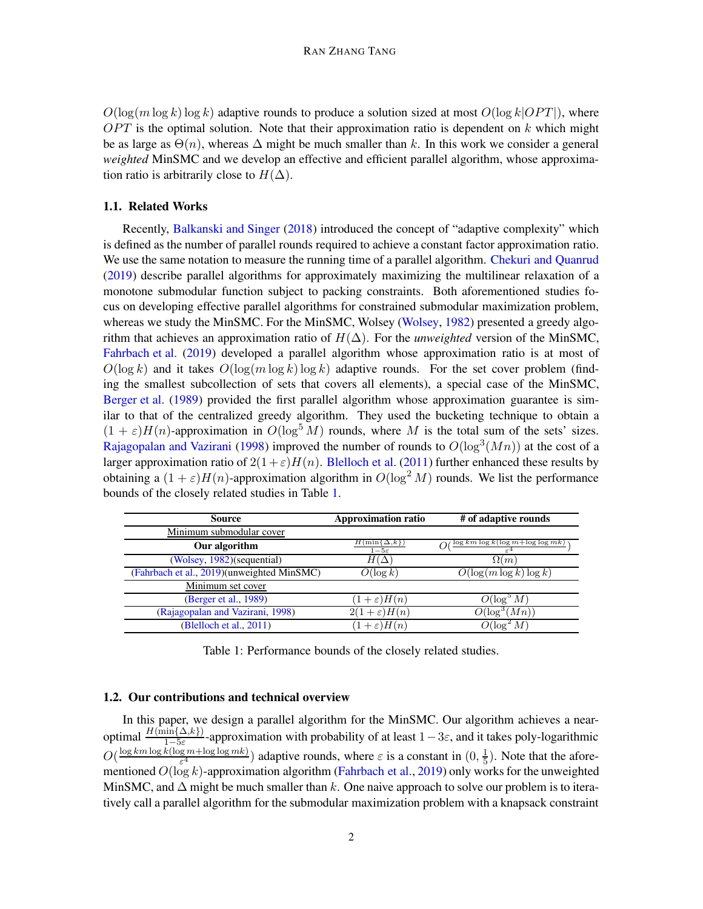$O(\log(m \log k) \log k)$  adaptive rounds to produce a solution sized at most  $O(\log k |OPT|)$ , where  $OPT$  is the optimal solution. Note that their approximation ratio is dependent on k which might be as large as  $\Theta(n)$ , whereas  $\Delta$  might be much smaller than k. In this work we consider a general *weighted* MinSMC and we develop an effective and efficient parallel algorithm, whose approximation ratio is arbitrarily close to  $H(\Delta)$ .

### 1.1. Related Works

Recently, [Balkanski and Singer](#page-12-6) [\(2018](#page-12-6)) introduced the concept of "adaptive complexity" which is defined as the number of parallel rounds required to achieve a constant factor approximation ratio. We use the same notation to measure the running time of a parallel algorithm. [Chekuri and Quanrud](#page-12-7) [\(2019](#page-12-7)) describe parallel algorithms for approximately maximizing the multilinear relaxation of a monotone submodular function subject to packing constraints. Both aforementioned studies focus on developing effective parallel algorithms for constrained submodular maximization problem, whereas we study the MinSMC. For the MinSMC, Wolsey [\(Wolsey](#page-13-1), [1982](#page-13-1)) presented a greedy algorithm that achieves an approximation ratio of  $H(\Delta)$ . For the *unweighted* version of the MinSMC, [Fahrbach et al.](#page-12-5) [\(2019](#page-12-5)) developed a parallel algorithm whose approximation ratio is at most of  $O(\log k)$  and it takes  $O(\log(m \log k) \log k)$  adaptive rounds. For the set cover problem (finding the smallest subcollection of sets that covers all elements), a special case of the MinSMC, [Berger et al.](#page-12-8) [\(1989\)](#page-12-8) provided the first parallel algorithm whose approximation guarantee is similar to that of the centralized greedy algorithm. They used the bucketing technique to obtain a  $(1 + \varepsilon)H(n)$ -approximation in  $O(\log^5 M)$  rounds, where M is the total sum of the sets' sizes. [Rajagopalan and Vazirani](#page-12-9) [\(1998](#page-12-9)) improved the number of rounds to  $O(log^3(Mn))$  at the cost of a larger approximation ratio of  $2(1+\varepsilon)H(n)$ . [Blelloch et al.](#page-12-10) [\(2011](#page-12-10)) further enhanced these results by obtaining a  $(1 + \varepsilon)H(n)$ -approximation algorithm in  $O(\log^2 M)$  rounds. We list the performance bounds of the closely related studies in Table [1.](#page-1-0)

<span id="page-1-0"></span>

| Source                                     | <b>Approximation ratio</b>                   | # of adaptive rounds                     |
|--------------------------------------------|----------------------------------------------|------------------------------------------|
| Minimum submodular cover                   |                                              |                                          |
| Our algorithm                              | $\{\min\{\Delta,k\}\}$<br>$1 - 5\varepsilon$ | $\log km \log k (\log m + \log \log mk)$ |
| (Wolsey, 1982) (sequential)                | $H(\Delta$                                   | $\Omega(m)$                              |
| (Fahrbach et al., 2019)(unweighted MinSMC) | $O(\log k)$                                  | $O(\log(m \log k) \log k)$               |
| Minimum set cover                          |                                              |                                          |
| (Berger et al., 1989)                      | $(1+\varepsilon)H(n)$                        | $O(\log^3 M)$                            |
| (Rajagopalan and Vazirani, 1998)           | $2(1+\varepsilon)H(n)$                       | $O(\log^3(Mn))$                          |
| (Blelloch et al., 2011)                    | $(1+\varepsilon)H(n)$                        | $\log^2 M$                               |

Table 1: Performance bounds of the closely related studies.

### 1.2. Our contributions and technical overview

In this paper, we design a parallel algorithm for the MinSMC. Our algorithm achieves a nearoptimal  $\frac{H(\min{\{\Delta,k\}})}{1-5\varepsilon}$ -approximation with probability of at least  $1-3\varepsilon$ , and it takes poly-logarithmic  $O(\frac{\log km \log k(\log m + \log \log mk)}{\epsilon^4})$  $(\frac{g m + \log \log mk)}{\varepsilon^4})$  adaptive rounds, where  $\varepsilon$  is a constant in  $(0, \frac{1}{5})$  $\frac{1}{5}$ ). Note that the aforementioned  $O(\log k)$ -approximation algorithm [\(Fahrbach et al.](#page-12-5), [2019](#page-12-5)) only works for the unweighted MinSMC, and  $\Delta$  might be much smaller than k. One naive approach to solve our problem is to iteratively call a parallel algorithm for the submodular maximization problem with a knapsack constraint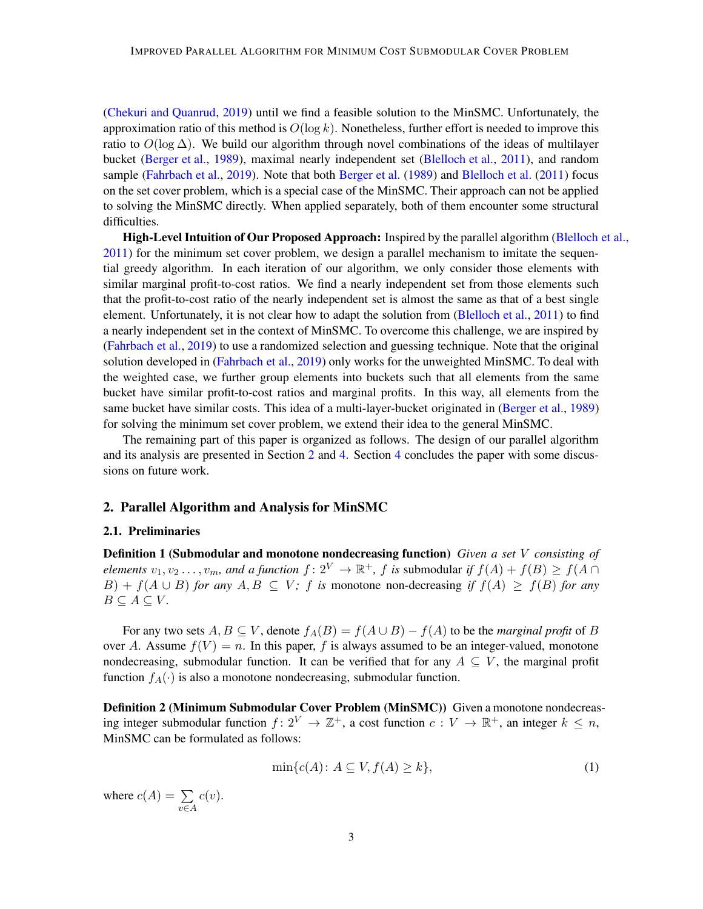[\(Chekuri and Quanrud](#page-12-7), [2019](#page-12-7)) until we find a feasible solution to the MinSMC. Unfortunately, the approximation ratio of this method is  $O(\log k)$ . Nonetheless, further effort is needed to improve this ratio to  $O(\log \Delta)$ . We build our algorithm through novel combinations of the ideas of multilayer bucket [\(Berger et al.,](#page-12-8) [1989](#page-12-8)), maximal nearly independent set [\(Blelloch et al.,](#page-12-10) [2011](#page-12-10)), and random sample [\(Fahrbach et al.,](#page-12-5) [2019](#page-12-5)). Note that both [Berger et al.](#page-12-8) [\(1989](#page-12-8)) and [Blelloch et al.](#page-12-10) [\(2011\)](#page-12-10) focus on the set cover problem, which is a special case of the MinSMC. Their approach can not be applied to solving the MinSMC directly. When applied separately, both of them encounter some structural difficulties.

High-Level Intuition of Our Proposed Approach: Inspired by the parallel algorithm [\(Blelloch et al.](#page-12-10), [2011\)](#page-12-10) for the minimum set cover problem, we design a parallel mechanism to imitate the sequential greedy algorithm. In each iteration of our algorithm, we only consider those elements with similar marginal profit-to-cost ratios. We find a nearly independent set from those elements such that the profit-to-cost ratio of the nearly independent set is almost the same as that of a best single element. Unfortunately, it is not clear how to adapt the solution from [\(Blelloch et al.,](#page-12-10) [2011](#page-12-10)) to find a nearly independent set in the context of MinSMC. To overcome this challenge, we are inspired by [\(Fahrbach et al.](#page-12-5), [2019](#page-12-5)) to use a randomized selection and guessing technique. Note that the original solution developed in [\(Fahrbach et al.](#page-12-5), [2019](#page-12-5)) only works for the unweighted MinSMC. To deal with the weighted case, we further group elements into buckets such that all elements from the same bucket have similar profit-to-cost ratios and marginal profits. In this way, all elements from the same bucket have similar costs. This idea of a multi-layer-bucket originated in [\(Berger et al.](#page-12-8), [1989](#page-12-8)) for solving the minimum set cover problem, we extend their idea to the general MinSMC.

The remaining part of this paper is organized as follows. The design of our parallel algorithm and its analysis are presented in Section [2](#page-2-0) and [4.](#page-11-0) Section [4](#page-11-0) concludes the paper with some discussions on future work.

#### <span id="page-2-0"></span>2. Parallel Algorithm and Analysis for MinSMC

#### 2.1. Preliminaries

Definition 1 (Submodular and monotone nondecreasing function) *Given a set* V *consisting of elements*  $v_1, v_2 \ldots, v_m$ , and a function  $f: 2^V \to \mathbb{R}^+$ , f is submodular if  $f(A) + f(B) \ge f(A \cap B)$  $B)$  + f(A ∪ B) for any A, B ⊆ V; f is monotone non-decreasing *if*  $f(A)$  ≥  $f(B)$  for any  $B \subseteq A \subseteq V$ .

For any two sets  $A, B \subseteq V$ , denote  $f_A(B) = f(A \cup B) - f(A)$  to be the *marginal profit* of B over A. Assume  $f(V) = n$ . In this paper, f is always assumed to be an integer-valued, monotone nondecreasing, submodular function. It can be verified that for any  $A \subseteq V$ , the marginal profit function  $f_A(\cdot)$  is also a monotone nondecreasing, submodular function.

Definition 2 (Minimum Submodular Cover Problem (MinSMC)) Given a monotone nondecreasing integer submodular function  $f: 2^V \to \mathbb{Z}^+$ , a cost function  $c: V \to \mathbb{R}^+$ , an integer  $k \leq n$ , MinSMC can be formulated as follows:

<span id="page-2-1"></span>
$$
\min\{c(A): A \subseteq V, f(A) \ge k\},\tag{1}
$$

where  $c(A) = \sum$ v∈A  $c(v).$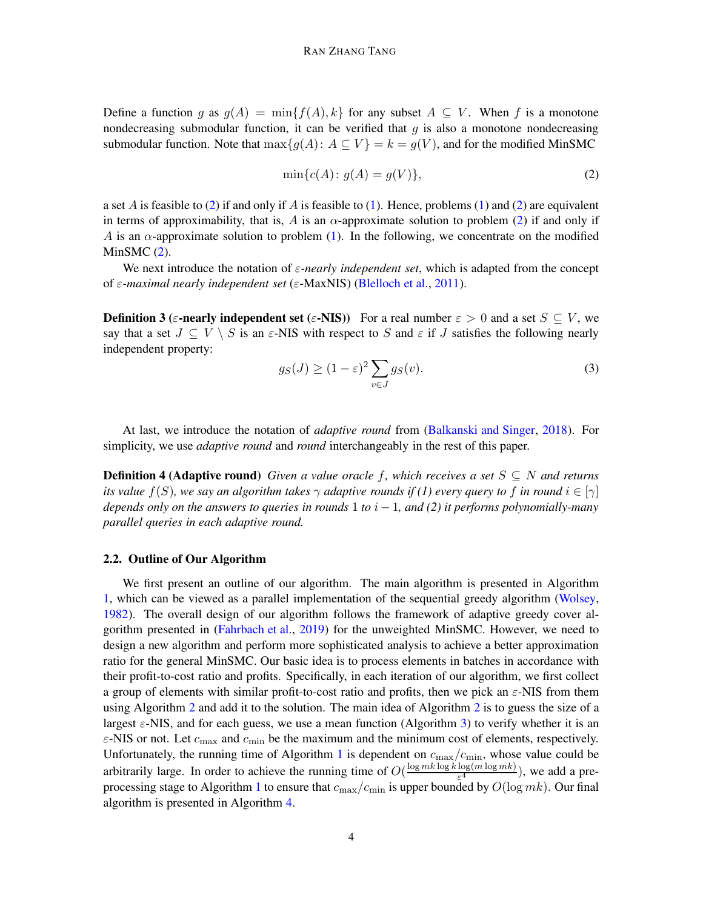Define a function g as  $g(A) = \min\{f(A), k\}$  for any subset  $A \subseteq V$ . When f is a monotone nondecreasing submodular function, it can be verified that  $g$  is also a monotone nondecreasing submodular function. Note that  $\max\{g(A): A \subseteq V\} = k = g(V)$ , and for the modified MinSMC

<span id="page-3-1"></span>
$$
\min\{c(A): g(A) = g(V)\},\tag{2}
$$

a set A is feasible to [\(2\)](#page-3-1) if and only if A is feasible to [\(1\)](#page-2-1). Hence, problems (1) and (2) are equivalent in terms of approximability, that is, A is an  $\alpha$ -approximate solution to problem [\(2\)](#page-3-1) if and only if A is an  $\alpha$ -approximate solution to problem [\(1\)](#page-2-1). In the following, we concentrate on the modified MinSMC  $(2)$ .

We next introduce the notation of  $\varepsilon$ -nearly independent set, which is adapted from the concept of ε*-maximal nearly independent set* (ε-MaxNIS) [\(Blelloch et al.](#page-12-10), [2011](#page-12-10)).

**Definition 3** (ε-**nearly independent set** (ε-NIS)) For a real number  $\varepsilon > 0$  and a set  $S \subset V$ , we say that a set  $J \subseteq V \setminus S$  is an  $\varepsilon$ -NIS with respect to S and  $\varepsilon$  if J satisfies the following nearly independent property:

<span id="page-3-2"></span><span id="page-3-0"></span>
$$
g_S(J) \ge (1 - \varepsilon)^2 \sum_{v \in J} g_S(v). \tag{3}
$$

At last, we introduce the notation of *adaptive round* from [\(Balkanski and Singer](#page-12-6), [2018](#page-12-6)). For simplicity, we use *adaptive round* and *round* interchangeably in the rest of this paper.

**Definition 4 (Adaptive round)** *Given a value oracle f, which receives a set*  $S \subseteq N$  *and returns its value*  $f(S)$ *, we say an algorithm takes*  $\gamma$  *adaptive rounds if (1) every query to* f *in round*  $i \in [\gamma]$ *depends only on the answers to queries in rounds* 1 *to* i − 1*, and (2) it performs polynomially-many parallel queries in each adaptive round.*

#### 2.2. Outline of Our Algorithm

We first present an outline of our algorithm. The main algorithm is presented in Algorithm [1,](#page-4-0) which can be viewed as a parallel implementation of the sequential greedy algorithm [\(Wolsey](#page-13-1), [1982\)](#page-13-1). The overall design of our algorithm follows the framework of adaptive greedy cover algorithm presented in [\(Fahrbach et al.](#page-12-5), [2019\)](#page-12-5) for the unweighted MinSMC. However, we need to design a new algorithm and perform more sophisticated analysis to achieve a better approximation ratio for the general MinSMC. Our basic idea is to process elements in batches in accordance with their profit-to-cost ratio and profits. Specifically, in each iteration of our algorithm, we first collect a group of elements with similar profit-to-cost ratio and profits, then we pick an  $\varepsilon$ -NIS from them using Algorithm [2](#page-5-0) and add it to the solution. The main idea of Algorithm [2](#page-5-0) is to guess the size of a largest  $\varepsilon$ -NIS, and for each guess, we use a mean function (Algorithm [3\)](#page-6-0) to verify whether it is an  $\varepsilon$ -NIS or not. Let  $c_{\text{max}}$  and  $c_{\text{min}}$  be the maximum and the minimum cost of elements, respectively. Unfortunately, the running time of Algorithm [1](#page-4-0) is dependent on  $c_{\text{max}}/c_{\text{min}}$ , whose value could be arbitrarily large. In order to achieve the running time of  $O(\frac{\log mk \log k \log(m \log mk)}{s^4})$  $\frac{\log(m \log m\kappa)}{\varepsilon^4}$ , we add a pre-processing stage to Algorithm [1](#page-4-0) to ensure that  $c_{\text{max}}/c_{\text{min}}$  is upper bounded by  $O(\log mk)$ . Our final algorithm is presented in Algorithm [4.](#page-11-1)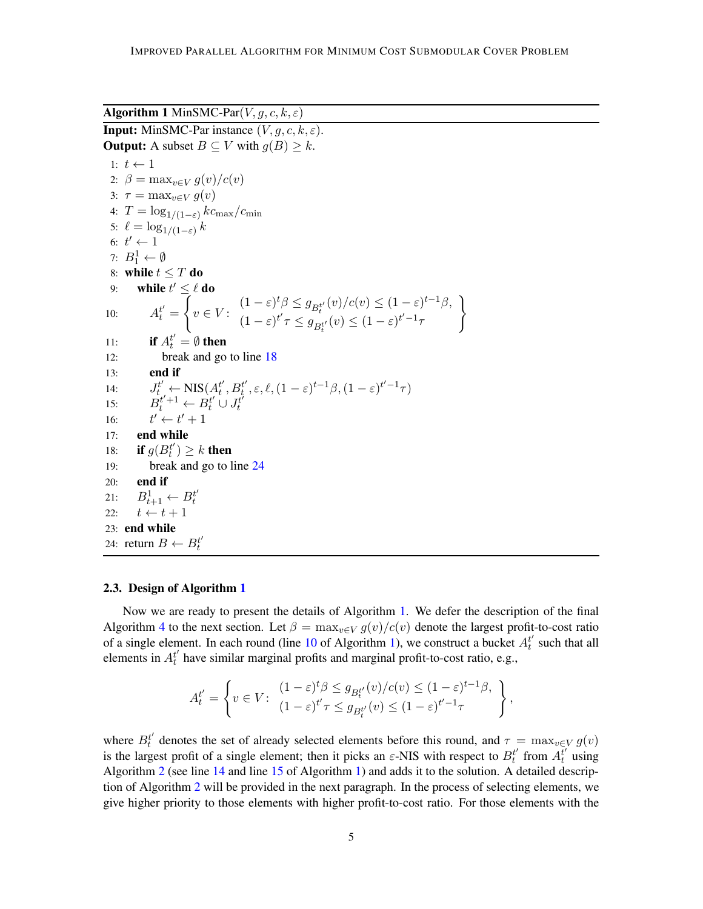$\mathcal{L}$ 

<span id="page-4-0"></span>Algorithm 1 MinSMC-Par $(V, g, c, k, \varepsilon)$ **Input:** MinSMC-Par instance  $(V, q, c, k, \varepsilon)$ . **Output:** A subset  $B \subseteq V$  with  $g(B) \geq k$ . 1:  $t \leftarrow 1$ 2:  $\beta = \max_{v \in V} \frac{q(v)}{c(v)}$ 3:  $\tau = \max_{v \in V} g(v)$ 4:  $T = \log_{1/(1-\varepsilon)} k c_{\text{max}}/c_{\text{min}}$ 5:  $\ell = \log_{1/(1-\varepsilon)} k$ 6:  $t' \leftarrow 1$ 7:  $B_1^1 \leftarrow \emptyset$ 8: while  $t \leq T$  do 9: while  $t' \leq \ell$  do 10:  $A_t^{t'} =$  $\int$  $v \in V$ :  $(1-\varepsilon)^t \beta \leq g_{B_t^{t'}}(v)/c(v) \leq (1-\varepsilon)^{t-1} \beta,$  $(1 - \varepsilon)^{t'} \tau \leq g_{B_t^{t'}}(v) \leq (1 - \varepsilon)^{t'-1} \tau$ 11: **if**  $A_t^{t'} = \emptyset$  then 12: break and go to line [18](#page-4-0) 13: end if 14:  $J_t^{t'} \leftarrow \text{NIS}(A_t^{t'}, B_t^{t'}, \varepsilon, \ell, (1-\varepsilon)^{t-1}\beta, (1-\varepsilon)^{t'-1}\tau)$ 15:  $B_t^{t'+1} \leftarrow B_t^{t'} \cup J_t^{t'}$ 16:  $' \leftarrow t' + 1$ 17: end while 18: **if**  $g(B_t^{t'}) \geq k$  **then** 19: break and go to line [24](#page-4-0) 20: end if 21:  $B_{t+1}^1 \leftarrow B_t^{t'}$ 22:  $t \leftarrow t + 1$ 23: end while 24: return  $B \leftarrow B_t^{t'}$ 

#### 2.3. Design of Algorithm [1](#page-4-0)

Now we are ready to present the details of Algorithm [1.](#page-4-0) We defer the description of the final Algorithm [4](#page-11-1) to the next section. Let  $\beta = \max_{v \in V} g(v)/c(v)$  denote the largest profit-to-cost ratio of a single element. In each round (line [10](#page-4-0) of Algorithm [1\)](#page-4-0), we construct a bucket  $A_t^{t'}$  such that all elements in  $A_t^{t'}$  have similar marginal profits and marginal profit-to-cost ratio, e.g.,

$$
A_t^{t'} = \left\{ v \in V : \begin{array}{l} (1 - \varepsilon)^t \beta \le g_{B_t^{t'}}(v) / c(v) \le (1 - \varepsilon)^{t-1} \beta, \\ (1 - \varepsilon)^{t'} \tau \le g_{B_t^{t'}}(v) \le (1 - \varepsilon)^{t'-1} \tau \end{array} \right\},
$$

where  $B_t^{t'}$  denotes the set of already selected elements before this round, and  $\tau = \max_{v \in V} g(v)$ is the largest profit of a single element; then it picks an  $\varepsilon$ -NIS with respect to  $B_t^{t'}$  from  $A_t^{t'}$  using Algorithm [2](#page-5-0) (see line [14](#page-4-0) and line [15](#page-4-0) of Algorithm [1\)](#page-4-0) and adds it to the solution. A detailed description of Algorithm [2](#page-5-0) will be provided in the next paragraph. In the process of selecting elements, we give higher priority to those elements with higher profit-to-cost ratio. For those elements with the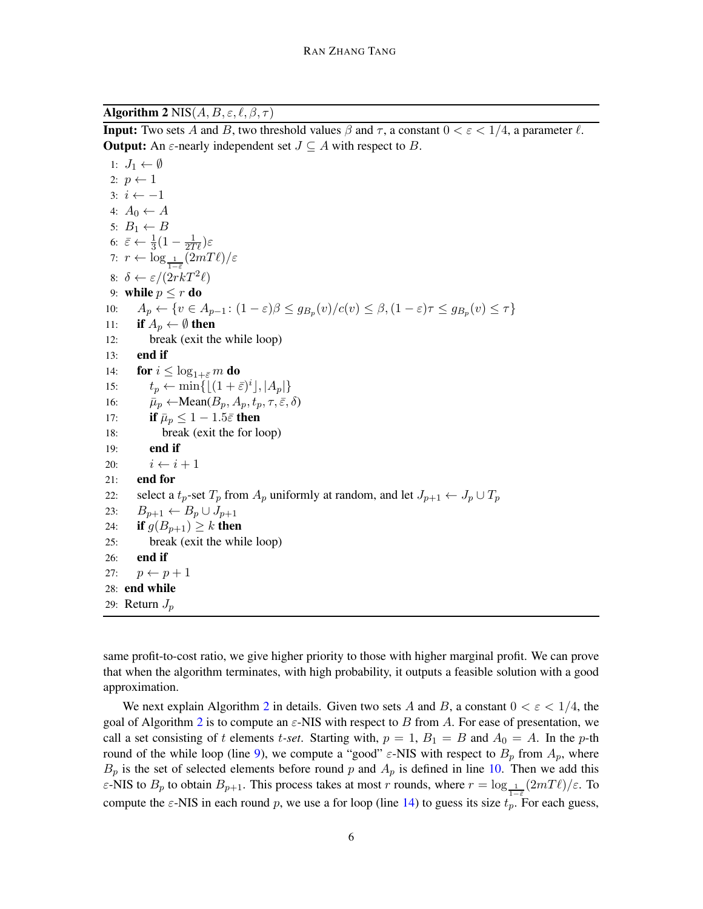<span id="page-5-0"></span>Algorithm 2 NIS $(A, B, \varepsilon, \ell, \beta, \tau)$ 

**Input:** Two sets A and B, two threshold values  $\beta$  and  $\tau$ , a constant  $0 < \epsilon < 1/4$ , a parameter  $\ell$ . **Output:** An  $\varepsilon$ -nearly independent set  $J \subseteq A$  with respect to B.

1:  $J_1 \leftarrow \emptyset$ 2:  $p \leftarrow 1$ 3:  $i \leftarrow -1$ 4:  $A_0 \leftarrow A$ 5:  $B_1 \leftarrow B$ 6:  $\bar{\varepsilon} \leftarrow \frac{1}{3}(1 - \frac{1}{2T\ell})\varepsilon$ 7:  $r \leftarrow \log_{\frac{1}{1-\tilde{\varepsilon}}}(2mT\ell)/\varepsilon$ 8:  $\delta \leftarrow \varepsilon/(2rkT^2\ell)$ 9: while  $p \le r$  do 10:  $A_p \leftarrow \{v \in A_{p-1} : (1 - \varepsilon)\beta \leq g_{B_p}(v) / c(v) \leq \beta, (1 - \varepsilon)\tau \leq g_{B_p}(v) \leq \tau\}$ 11: if  $A_p \leftarrow \emptyset$  then 12: break (exit the while loop) 13: end if 14: **for**  $i \leq \log_{1+\bar{\varepsilon}} m$  **do** 15:  $t_p \leftarrow \min\{ \lfloor (1 + \bar{\varepsilon})^i \rfloor, |A_p| \}$ 16:  $\overrightarrow{\mu}_p \leftarrow \text{Mean}(B_p, A_p, t_p, \tau, \overrightarrow{\varepsilon}, \delta)$ 17: **if**  $\bar{\mu}_p \leq 1 - 1.5\bar{\varepsilon}$  then 18: break (exit the for loop) 19: end if 20:  $i \leftarrow i + 1$ 21: end for 22: select a  $t_p$ -set  $T_p$  from  $A_p$  uniformly at random, and let  $J_{p+1} \leftarrow J_p \cup T_p$ 23:  $B_{p+1} \leftarrow B_p \cup J_{p+1}$ 24: **if**  $g(B_{p+1}) \geq k$  then 25: break (exit the while loop) 26: end if 27:  $p \leftarrow p + 1$ 28: end while 29: Return  $J_p$ 

same profit-to-cost ratio, we give higher priority to those with higher marginal profit. We can prove that when the algorithm terminates, with high probability, it outputs a feasible solution with a good approximation.

We next explain Algorithm [2](#page-5-0) in details. Given two sets A and B, a constant  $0 < \varepsilon < 1/4$ , the goal of Algorithm [2](#page-5-0) is to compute an  $\varepsilon$ -NIS with respect to B from A. For ease of presentation, we call a set consisting of t elements t-set. Starting with,  $p = 1$ ,  $B_1 = B$  and  $A_0 = A$ . In the p-th round of the while loop (line [9\)](#page-5-0), we compute a "good"  $\varepsilon$ -NIS with respect to  $B_p$  from  $A_p$ , where  $B_p$  is the set of selected elements before round p and  $A_p$  is defined in line [10.](#page-5-0) Then we add this ε-NIS to  $B_p$  to obtain  $B_{p+1}$ . This process takes at most r rounds, where  $r = \log_{1} \frac{1}{r} (2mT\ell)/\varepsilon$ . To compute the  $\varepsilon$ -NIS in each round p, we use a for loop (line [14\)](#page-5-0) to guess its size  $t_p$ . For each guess,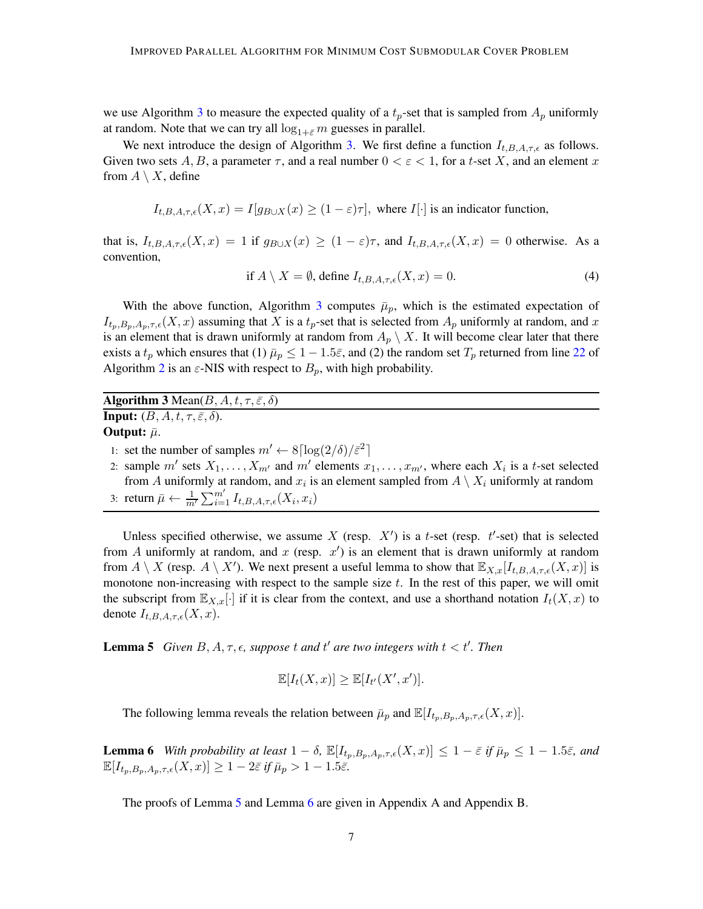we use Algorithm [3](#page-6-0) to measure the expected quality of a  $t_p$ -set that is sampled from  $A_p$  uniformly at random. Note that we can try all  $\log_{1+\bar{\varepsilon}} m$  guesses in parallel.

We next introduce the design of Algorithm [3.](#page-6-0) We first define a function  $I_{t,B,A,\tau,\epsilon}$  as follows. Given two sets A, B, a parameter  $\tau$ , and a real number  $0 < \varepsilon < 1$ , for a t-set X, and an element x from  $A \setminus X$ , define

$$
I_{t,B,A,\tau,\epsilon}(X,x) = I[g_{B\cup X}(x) \ge (1-\epsilon)\tau],
$$
 where  $I[\cdot]$  is an indicator function,

that is,  $I_{t,B,A,\tau,\epsilon}(X,x) = 1$  if  $g_{B\cup X}(x) \geq (1-\epsilon)\tau$ , and  $I_{t,B,A,\tau,\epsilon}(X,x) = 0$  otherwise. As a convention,

<span id="page-6-3"></span>if 
$$
A \setminus X = \emptyset
$$
, define  $I_{t,B,A,\tau,\epsilon}(X,x) = 0$ . (4)

With the above function, Algorithm [3](#page-6-0) computes  $\bar{\mu}_p$ , which is the estimated expectation of  $I_{t_p,B_p,A_p,\tau,\epsilon}(X,x)$  assuming that X is a  $t_p$ -set that is selected from  $A_p$  uniformly at random, and x is an element that is drawn uniformly at random from  $A_p \setminus X$ . It will become clear later that there exists a  $t_p$  which ensures that (1)  $\bar{\mu}_p \leq 1 - 1.5\bar{\varepsilon}$ , and (2) the random set  $T_p$  returned from line [22](#page-5-0) of Algorithm [2](#page-5-0) is an  $\varepsilon$ -NIS with respect to  $B_p$ , with high probability.

<span id="page-6-0"></span>Algorithm 3 Mean( $B, A, t, \tau, \bar{\varepsilon}, \delta$ ) **Input:**  $(B, A, t, \tau, \bar{\varepsilon}, \delta)$ . Output:  $\bar{\mu}$ . 1: set the number of samples  $m' \leftarrow 8 \lceil \log(2/\delta)/\bar{\varepsilon}^2 \rceil$ 

2: sample m' sets  $X_1, \ldots, X_{m'}$  and m' elements  $x_1, \ldots, x_{m'}$ , where each  $X_i$  is a t-set selected from A uniformly at random, and  $x_i$  is an element sampled from  $A \setminus X_i$  uniformly at random 3: return  $\bar{\mu} \leftarrow \frac{1}{m'} \sum_{i=1}^{m'} I_{t,B,A,\tau,\epsilon}(X_i, x_i)$ 

Unless specified otherwise, we assume X (resp.  $X'$ ) is a t-set (resp.  $t'$ -set) that is selected from A uniformly at random, and x (resp.  $x'$ ) is an element that is drawn uniformly at random from  $A \setminus X$  (resp.  $A \setminus X'$ ). We next present a useful lemma to show that  $\mathbb{E}_{X,x}[I_{t,B,A,\tau,\epsilon}(X,x)]$  is monotone non-increasing with respect to the sample size  $t$ . In the rest of this paper, we will omit the subscript from  $\mathbb{E}_{X,x}[\cdot]$  if it is clear from the context, and use a shorthand notation  $I_t(X,x)$  to denote  $I_{t,B,A,\tau,\epsilon}(X,x)$ .

**Lemma 5** *Given*  $B, A, \tau, \epsilon$ , suppose t and t' are two integers with  $t < t'$ . Then

<span id="page-6-1"></span>
$$
\mathbb{E}[I_t(X,x)] \geq \mathbb{E}[I_{t'}(X',x')].
$$

<span id="page-6-2"></span>The following lemma reveals the relation between  $\bar{\mu}_p$  and  $\mathbb{E}[I_{t_n,B_p,A_p,\tau,\epsilon}(X,x)]$ .

**Lemma 6** *With probability at least*  $1 - \delta$ ,  $\mathbb{E}[I_{t_n,B_n,A_n,\tau,\epsilon}(X,x)] \leq 1 - \bar{\varepsilon}$  *if*  $\bar{\mu}_p \leq 1 - 1.5\bar{\varepsilon}$ *, and*  $\mathbb{E}[I_{t_n,B_n,A_n,\tau,\epsilon}(X,x)] \geq 1-2\bar{\varepsilon}$  *if*  $\bar{\mu}_p > 1-1.5\bar{\varepsilon}$ .

The proofs of Lemma [5](#page-6-1) and Lemma [6](#page-6-2) are given in Appendix A and Appendix B.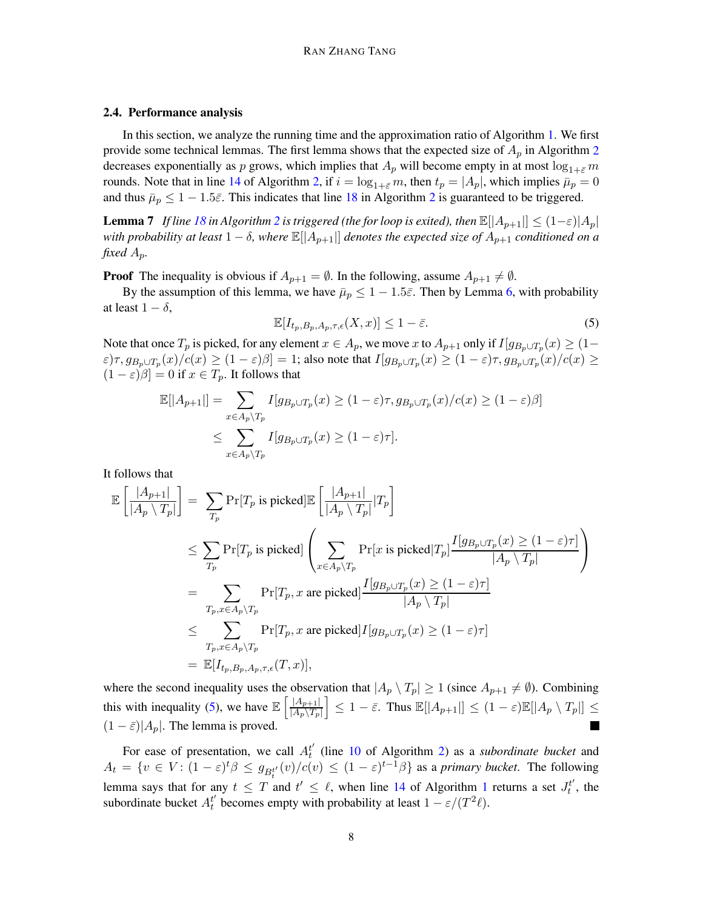### 2.4. Performance analysis

In this section, we analyze the running time and the approximation ratio of Algorithm [1.](#page-4-0) We first provide some technical lemmas. The first lemma shows that the expected size of  $A_p$  in Algorithm [2](#page-5-0) decreases exponentially as p grows, which implies that  $A_p$  will become empty in at most  $\log_{1+\varepsilon} m$ rounds. Note that in line [14](#page-5-0) of Algorithm [2,](#page-5-0) if  $i = \log_{1+\bar{\varepsilon}} m$ , then  $t_p = |A_p|$ , which implies  $\bar{\mu}_p = 0$ and thus  $\bar{\mu}_p \leq 1 - 1.5\bar{\varepsilon}$ . This indicates that line [18](#page-5-0) in Algorithm [2](#page-5-0) is guaranteed to be triggered.

<span id="page-7-2"></span>**Lemma 7** *If line* [18](#page-5-0) *in Algorithm* [2](#page-5-0) *is triggered (the for loop is exited), then*  $\mathbb{E}[|A_{p+1}|] \leq (1-\varepsilon)|A_p|$ *with probability at least*  $1 - \delta$ *, where*  $\mathbb{E}[[A_{p+1}]]$  *denotes the expected size of*  $A_{p+1}$  *conditioned on a fixed* Ap*.*

**Proof** The inequality is obvious if  $A_{p+1} = \emptyset$ . In the following, assume  $A_{p+1} \neq \emptyset$ .

By the assumption of this lemma, we have  $\bar{\mu}_p \leq 1 - 1.5\bar{\varepsilon}$ . Then by Lemma [6,](#page-6-2) with probability at least  $1 - \delta$ ,

<span id="page-7-0"></span>
$$
\mathbb{E}[I_{t_p,B_p,A_p,\tau,\epsilon}(X,x)] \le 1 - \bar{\varepsilon}.\tag{5}
$$

Note that once  $T_p$  is picked, for any element  $x \in A_p$ , we move  $x$  to  $A_{p+1}$  only if  $I[g_{B_p \cup T_p}(x) \geq (1-\frac{1}{2}A_p \cup T_p)$  $(\varepsilon)\tau, g_{B_p \cup T_p}(x)/c(x) \ge (1-\varepsilon)\beta] = 1$ ; also note that  $I[g_{B_p \cup T_p}(x) \ge (1-\varepsilon)\tau, g_{B_p \cup T_p}(x)/c(x) \ge 1$  $(1 - \varepsilon)\beta$  = 0 if  $x \in T_p$ . It follows that

$$
\mathbb{E}[|A_{p+1}|] = \sum_{x \in A_p \setminus T_p} I[g_{B_p \cup T_p}(x) \ge (1 - \varepsilon)\tau, g_{B_p \cup T_p}(x) / c(x) \ge (1 - \varepsilon)\beta]
$$
  

$$
\le \sum_{x \in A_p \setminus T_p} I[g_{B_p \cup T_p}(x) \ge (1 - \varepsilon)\tau].
$$

It follows that

$$
\mathbb{E}\left[\frac{|A_{p+1}|}{|A_p \setminus T_p|}\right] = \sum_{T_p} \Pr[T_p \text{ is picked}]\mathbb{E}\left[\frac{|A_{p+1}|}{|A_p \setminus T_p|} | T_p\right]
$$
\n
$$
\leq \sum_{T_p} \Pr[T_p \text{ is picked}]\left(\sum_{x \in A_p \setminus T_p} \Pr[x \text{ is picked} | T_p] \frac{I[g_{B_p \cup T_p}(x) \geq (1-\varepsilon)\tau]}{|A_p \setminus T_p|}\right)
$$
\n
$$
= \sum_{T_p, x \in A_p \setminus T_p} \Pr[T_p, x \text{ are picked}] \frac{I[g_{B_p \cup T_p}(x) \geq (1-\varepsilon)\tau]}{|A_p \setminus T_p|}
$$
\n
$$
\leq \sum_{T_p, x \in A_p \setminus T_p} \Pr[T_p, x \text{ are picked}] I[g_{B_p \cup T_p}(x) \geq (1-\varepsilon)\tau]
$$
\n
$$
= \mathbb{E}[I_{t_p, B_p, A_p, \tau, \epsilon}(T, x)],
$$

where the second inequality uses the observation that  $|A_p \setminus T_p| \ge 1$  (since  $A_{p+1} \ne \emptyset$ ). Combining this with inequality [\(5\)](#page-7-0), we have  $\mathbb{E}\left[\frac{|A_{p+1}|}{|A_{p+1}|}\right]$  $\frac{|A_{p+1}|}{|A_p\setminus T_p|} \leq 1-\bar{\varepsilon}$ . Thus  $\mathbb{E}[|A_{p+1}|] \leq (1-\varepsilon)\mathbb{E}[|A_p\setminus T_p|] \leq$  $(1 - \bar{\varepsilon})|A_p|$ . The lemma is proved.  $\blacksquare$ 

<span id="page-7-1"></span>For ease of presentation, we call  $A_t^{t'}$  (line [10](#page-5-0) of Algorithm [2\)](#page-5-0) as a *subordinate bucket* and  $A_t = \{v \in V : (1 - \varepsilon)^t \beta \le g_{B_t^{t'}}(v) / c(v) \le (1 - \varepsilon)^{t-1} \beta\}$  as a *primary bucket*. The following lemma says that for any  $t \leq T$  and  $t' \leq \ell$ , when line [14](#page-4-0) of Algorithm [1](#page-4-0) returns a set  $J_t^{t'}$ , the subordinate bucket  $A_t^{t'}$  becomes empty with probability at least  $1 - \varepsilon/(T^2 \ell)$ .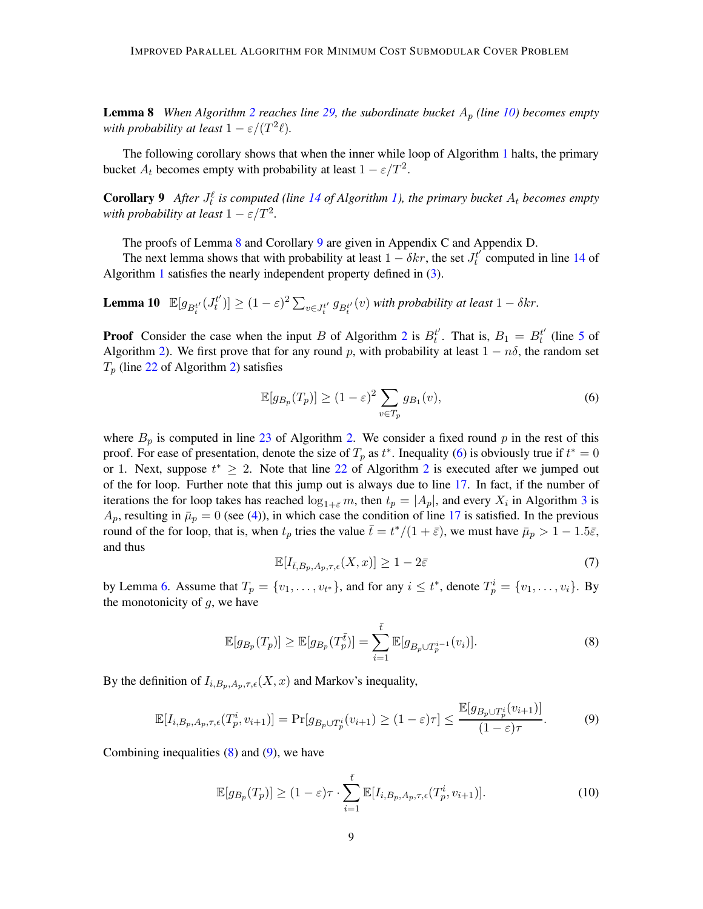**Lemma 8** *When Algorithm [2](#page-5-0) reaches line [29,](#page-5-0) the subordinate bucket*  $A_p$  *(line [10\)](#page-5-0) becomes empty* with probability at least  $1 - \varepsilon/(T^2\ell)$ .

<span id="page-8-0"></span>The following corollary shows that when the inner while loop of Algorithm [1](#page-4-0) halts, the primary bucket  $A_t$  becomes empty with probability at least  $1 - \varepsilon/T^2$ .

**Corollary 9** After  $J_t^{\ell}$  is computed (line [14](#page-4-0) of Algorithm [1\)](#page-4-0), the primary bucket  $A_t$  becomes empty *with probability at least*  $1 - \varepsilon/T^2$ *.* 

The proofs of Lemma [8](#page-7-1) and Corollary [9](#page-8-0) are given in Appendix C and Appendix D.

<span id="page-8-6"></span>The next lemma shows that with probability at least  $1 - \delta kr$ , the set  $J_t^{t'}$  computed in line [14](#page-4-0) of Algorithm [1](#page-4-0) satisfies the nearly independent property defined in [\(3\)](#page-3-2).

**Lemma 10**  $\mathbb{E}[g_{B_t^{t'}}(J_t^{t'})] \geq (1-\varepsilon)^2 \sum_{v \in J_t^{t'}} g_{B_t^{t'}}(v)$  *with probability at least*  $1-\delta kr$ .

**Proof** Consider the case when the input B of Algorithm [2](#page-5-0) is  $B_t^{t'}$ . That is,  $B_1 = B_t^{t'}$  (line [5](#page-5-0) of Algorithm [2\)](#page-5-0). We first prove that for any round p, with probability at least  $1 - n\delta$ , the random set  $T_p$  (line [22](#page-5-0) of Algorithm [2\)](#page-5-0) satisfies

<span id="page-8-1"></span>
$$
\mathbb{E}[g_{B_p}(T_p)] \ge (1 - \varepsilon)^2 \sum_{v \in T_p} g_{B_1}(v),\tag{6}
$$

where  $B_p$  is computed in line [23](#page-5-0) of Algorithm [2.](#page-5-0) We consider a fixed round p in the rest of this proof. For ease of presentation, denote the size of  $T_p$  as  $t^*$ . Inequality [\(6\)](#page-8-1) is obviously true if  $t^* = 0$ or 1. Next, suppose  $t^* \geq 2$  $t^* \geq 2$ . Note that line [22](#page-5-0) of Algorithm 2 is executed after we jumped out of the for loop. Further note that this jump out is always due to line [17.](#page-5-0) In fact, if the number of iterations the for loop takes has reached  $\log_{1+\bar{\varepsilon}} m$ , then  $t_p = |A_p|$ , and every  $X_i$  in Algorithm [3](#page-6-0) is  $A_p$ , resulting in  $\bar{\mu}_p = 0$  (see [\(4\)](#page-6-3)), in which case the condition of line [17](#page-5-0) is satisfied. In the previous round of the for loop, that is, when  $t_p$  tries the value  $\bar{t} = t^*/(1 + \bar{\varepsilon})$ , we must have  $\bar{\mu}_p > 1 - 1.5\bar{\varepsilon}$ , and thus

<span id="page-8-4"></span>
$$
\mathbb{E}[I_{\bar{t},B_p,A_p,\tau,\epsilon}(X,x)] \ge 1 - 2\bar{\varepsilon}
$$
\n(7)

by Lemma [6.](#page-6-2) Assume that  $T_p = \{v_1, \ldots, v_{t^*}\}\$ , and for any  $i \leq t^*$ , denote  $T_p^i = \{v_1, \ldots, v_i\}$ . By the monotonicity of  $q$ , we have

<span id="page-8-2"></span>
$$
\mathbb{E}[g_{B_p}(T_p)] \ge \mathbb{E}[g_{B_p}(T_p^{\bar{t}})] = \sum_{i=1}^{\bar{t}} \mathbb{E}[g_{B_p \cup T_p^{i-1}}(v_i)].
$$
\n(8)

By the definition of  $I_{i,B_p,A_p,\tau,\epsilon}(X,x)$  and Markov's inequality,

<span id="page-8-3"></span>
$$
\mathbb{E}[I_{i,B_p,A_p,\tau,\epsilon}(T_p^i, v_{i+1})] = \Pr[g_{B_p \cup T_p^i}(v_{i+1}) \ge (1-\varepsilon)\tau] \le \frac{\mathbb{E}[g_{B_p \cup T_p^i}(v_{i+1})]}{(1-\varepsilon)\tau}.
$$
 (9)

Combining inequalities  $(8)$  and  $(9)$ , we have

<span id="page-8-5"></span>
$$
\mathbb{E}[g_{B_p}(T_p)] \ge (1-\varepsilon)\tau \cdot \sum_{i=1}^{\bar{t}} \mathbb{E}[I_{i,B_p,A_p,\tau,\epsilon}(T_p^i,v_{i+1})]. \tag{10}
$$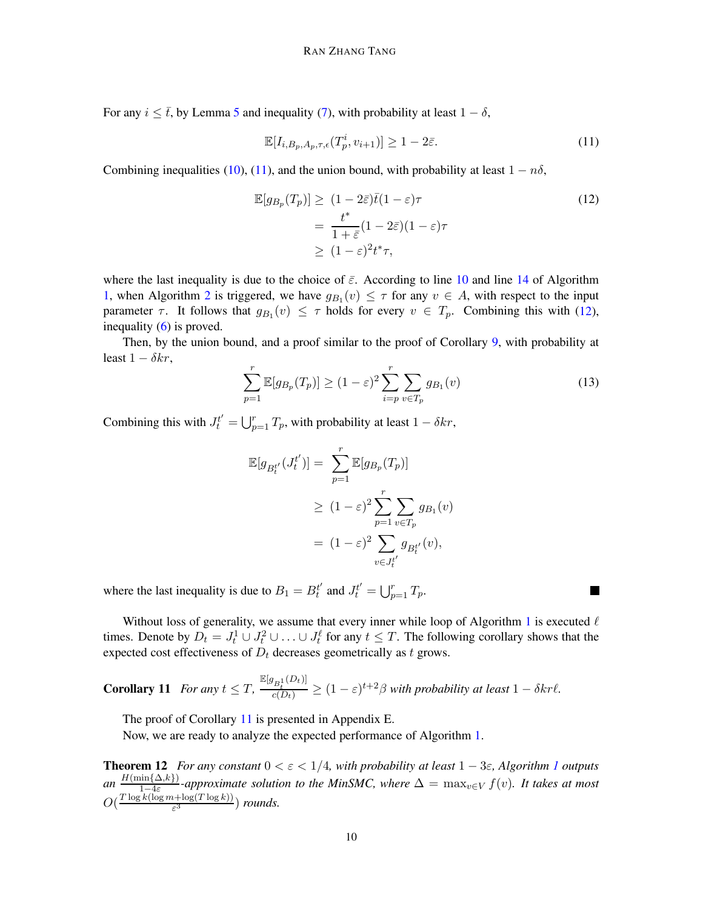For any  $i \leq \bar{t}$ , by Lemma [5](#page-6-1) and inequality [\(7\)](#page-8-4), with probability at least  $1 - \delta$ ,

<span id="page-9-1"></span><span id="page-9-0"></span>
$$
\mathbb{E}[I_{i,B_p,A_p,\tau,\epsilon}(T_p^i,v_{i+1})] \ge 1 - 2\bar{\varepsilon}.\tag{11}
$$

Combining inequalities [\(10\)](#page-8-5), [\(11\)](#page-9-0), and the union bound, with probability at least  $1 - n\delta$ ,

$$
\mathbb{E}[g_{B_p}(T_p)] \geq (1 - 2\bar{\varepsilon})\bar{t}(1 - \varepsilon)\tau
$$
\n
$$
= \frac{t^*}{1 + \bar{\varepsilon}}(1 - 2\bar{\varepsilon})(1 - \varepsilon)\tau
$$
\n
$$
\geq (1 - \varepsilon)^2 t^* \tau,
$$
\n(12)

where the last inequality is due to the choice of  $\bar{\varepsilon}$ . According to line [10](#page-4-0) and line [14](#page-4-0) of Algorithm [1,](#page-4-0) when Algorithm [2](#page-5-0) is triggered, we have  $g_{B_1}(v) \leq \tau$  for any  $v \in A$ , with respect to the input parameter  $\tau$ . It follows that  $g_{B_1}(v) \leq \tau$  holds for every  $v \in T_p$ . Combining this with [\(12\)](#page-9-1), inequality  $(6)$  is proved.

Then, by the union bound, and a proof similar to the proof of Corollary [9,](#page-8-0) with probability at least  $1 - \delta kr$ ,

$$
\sum_{p=1}^{r} \mathbb{E}[g_{B_p}(T_p)] \ge (1 - \varepsilon)^2 \sum_{i=p}^{r} \sum_{v \in T_p} g_{B_1}(v)
$$
\n(13)

H

Combining this with  $J_t^{t'} = \bigcup_{p=1}^r T_p$ , with probability at least  $1 - \delta k r$ ,

$$
\mathbb{E}[g_{B_t^{t'}}(J_t^{t'})] = \sum_{p=1}^r \mathbb{E}[g_{B_p}(T_p)]
$$
  
\n
$$
\geq (1-\varepsilon)^2 \sum_{p=1}^r \sum_{v \in T_p} g_{B_1}(v)
$$
  
\n
$$
= (1-\varepsilon)^2 \sum_{v \in J_t^{t'}} g_{B_t^{t'}}(v),
$$

where the last inequality is due to  $B_1 = B_t^{t'}$  and  $J_t^{t'} = \bigcup_{p=1}^r T_p$ .

Without loss of generality, we assume that every inner while loop of Algorithm [1](#page-4-0) is executed  $\ell$ times. Denote by  $D_t = J_t^1 \cup J_t^2 \cup \ldots \cup J_t^{\ell}$  for any  $t \leq T$ . The following corollary shows that the expected cost effectiveness of  $D_t$  decreases geometrically as t grows.

<span id="page-9-2"></span>**Corollary 11** For any  $t \leq T$ ,  $\frac{\mathbb{E}[g_{B_t^1}(D_t)]}{c(D_t)} \geq (1-\varepsilon)^{t+2}\beta$  with probability at least  $1-\delta kr\ell$ .

The proof of Corollary [11](#page-9-2) is presented in Appendix E.

<span id="page-9-3"></span>Now, we are ready to analyze the expected performance of Algorithm [1.](#page-4-0)

**Theorem [1](#page-4-0)2** *For any constant*  $0 < \varepsilon < 1/4$ *, with probability at least*  $1 - 3\varepsilon$ *, Algorithm 1 outputs an*  $\frac{H(\min\{\Delta,k\})}{1-\Delta\varepsilon}$  $\frac{\sin{\{\Delta,\kappa\}}} {1-4\varepsilon}$ -approximate solution to the MinSMC, where  $\Delta = \max_{v \in V} f(v)$ . It takes at most  $O(\frac{T \log k(\log m + \log(T \log k))}{\varepsilon^3})$  $\frac{a + \log(1 - \log k))}{\varepsilon^3}$  *rounds.*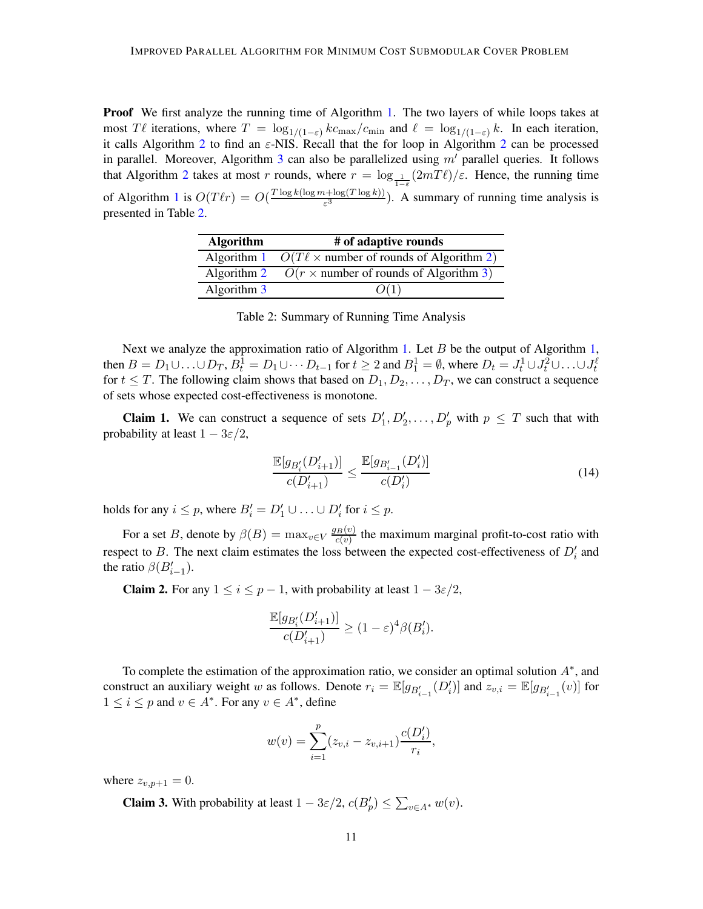**Proof** We first analyze the running time of Algorithm [1.](#page-4-0) The two layers of while loops takes at most Tl iterations, where  $T = \log_{1/(1-\epsilon)} k c_{\text{max}}/c_{\text{min}}$  and  $\ell = \log_{1/(1-\epsilon)} k$ . In each iteration, it calls Algorithm [2](#page-5-0) to find an  $\varepsilon$ -NIS. Recall that the for loop in Algorithm 2 can be processed in parallel. Moreover, Algorithm [3](#page-6-0) can also be parallelized using  $m'$  parallel queries. It follows that Algorithm [2](#page-5-0) takes at most r rounds, where  $r = \log_{1} (2mT\ell)/\varepsilon$ . Hence, the running time  $1-\bar{\varepsilon}$ of Algorithm [1](#page-4-0) is  $O(T\ell r) = O(\frac{T \log k(\log m + \log(T \log k))}{\epsilon^3})$  $\frac{(\mathcal{L} + \log(\mathcal{L} \log \kappa))}{\varepsilon^3}$ . A summary of running time analysis is presented in Table [2.](#page-10-0)

<span id="page-10-0"></span>

| <b>Algorithm</b> | # of adaptive rounds                                          |  |
|------------------|---------------------------------------------------------------|--|
|                  | Algorithm 1 $O(T\ell \times$ number of rounds of Algorithm 2) |  |
|                  | Algorithm 2 $O(r \times$ number of rounds of Algorithm 3)     |  |
| Algorithm 3      | O(1)                                                          |  |

Table 2: Summary of Running Time Analysis

Next we analyze the approximation ratio of Algorithm [1.](#page-4-0) Let B be the output of Algorithm [1,](#page-4-0) then  $B = D_1 \cup \ldots \cup D_T$ ,  $B_t^1 = D_1 \cup \cdots D_{t-1}$  for  $t \ge 2$  and  $B_1^1 = \emptyset$ , where  $D_t = J_t^1 \cup J_t^2 \cup \ldots \cup J_t^{\ell}$ for  $t \leq T$ . The following claim shows that based on  $D_1, D_2, \ldots, D_T$ , we can construct a sequence of sets whose expected cost-effectiveness is monotone.

**Claim 1.** We can construct a sequence of sets  $D'_1, D'_2, \ldots, D'_p$  with  $p \leq T$  such that with probability at least  $1 - 3\varepsilon/2$ ,

<span id="page-10-1"></span>
$$
\frac{\mathbb{E}[g_{B_i'}(D_{i+1}')]}{c(D_{i+1}')} \le \frac{\mathbb{E}[g_{B_{i-1}'}(D_i')]}{c(D_i')} \tag{14}
$$

holds for any  $i \leq p$ , where  $B'_i = D'_1 \cup ... \cup D'_i$  for  $i \leq p$ .

For a set B, denote by  $\beta(B) = \max_{v \in V} \frac{g_B(v)}{c(v)}$  $\frac{f_B(v)}{c(v)}$  the maximum marginal profit-to-cost ratio with respect to B. The next claim estimates the loss between the expected cost-effectiveness of  $D'_i$  and the ratio  $\beta(B'_{i-1})$ .

**Claim 2.** For any  $1 \le i \le p - 1$ , with probability at least  $1 - 3\varepsilon/2$ ,

$$
\frac{\mathbb{E}[g_{B_i'}(D_{i+1}')]}{c(D_{i+1}')}\geq (1-\varepsilon)^4 \beta(B_i').
$$

To complete the estimation of the approximation ratio, we consider an optimal solution  $A^*$ , and construct an auxiliary weight w as follows. Denote  $r_i = \mathbb{E}[g_{B'_{i-1}}(D'_i)]$  and  $z_{v,i} = \mathbb{E}[g_{B'_{i-1}}(v)]$  for  $1 \leq i \leq p$  and  $v \in A^*$ . For any  $v \in A^*$ , define

$$
w(v) = \sum_{i=1}^{p} (z_{v,i} - z_{v,i+1}) \frac{c(D'_i)}{r_i},
$$

where  $z_{v,p+1} = 0$ .

**Claim 3.** With probability at least  $1 - 3\varepsilon/2$ ,  $c(B_p') \le \sum_{v \in A^*} w(v)$ .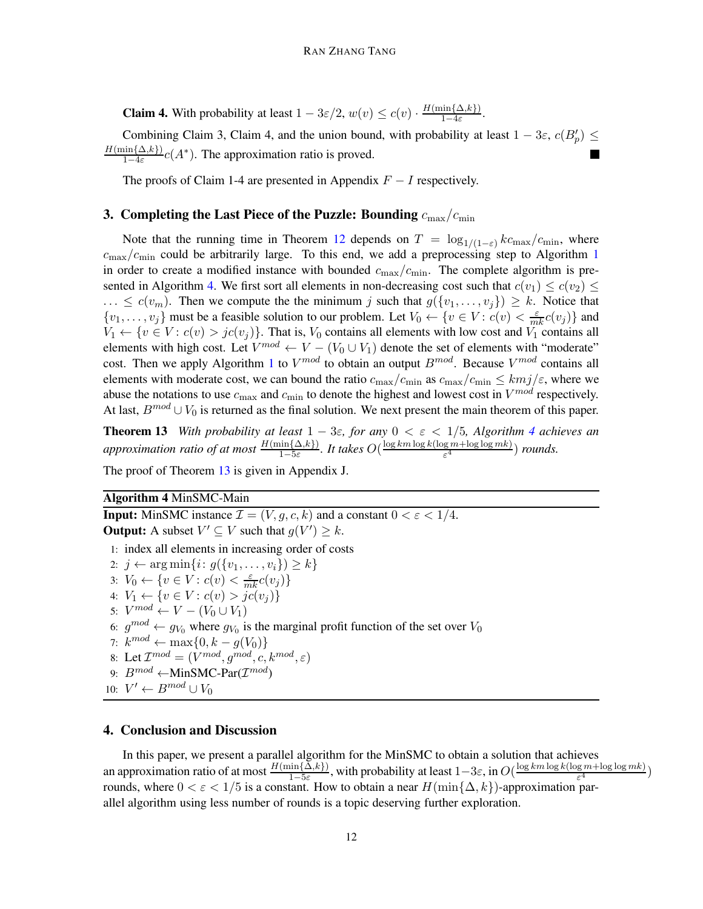**Claim 4.** With probability at least  $1 - 3\varepsilon/2$ ,  $w(v) \leq c(v) \cdot \frac{H(\min\{\Delta,k\})}{1-4\varepsilon}$  $\frac{\sin\{\Delta,\kappa\}}{1-4\varepsilon}$ .

Combining Claim 3, Claim 4, and the union bound, with probability at least  $1 - 3\varepsilon$ ,  $c(B_p') \leq$  $H(\min\{\Delta,k\})$  $\frac{\sin{\{\Delta,k\}}}1-4\varepsilon}c(A^*)$ . The approximation ratio is proved.

The proofs of Claim 1-4 are presented in Appendix  $F - I$  respectively.

### 3. Completing the Last Piece of the Puzzle: Bounding  $c_{\rm max}/c_{\rm min}$

Note that the running time in Theorem [12](#page-9-3) depends on  $T = \log_{1/(1-\varepsilon)} k c_{\text{max}}/c_{\text{min}}$ , where  $c_{\text{max}}/c_{\text{min}}$  could be arbitrarily large. To this end, we add a preprocessing step to Algorithm [1](#page-4-0) in order to create a modified instance with bounded  $c_{\text{max}}/c_{\text{min}}$ . The complete algorithm is pre-sented in Algorithm [4.](#page-11-1) We first sort all elements in non-decreasing cost such that  $c(v_1) \leq c(v_2) \leq$  $\ldots \leq c(v_m)$ . Then we compute the the minimum j such that  $g(\{v_1, \ldots, v_i\}) \geq k$ . Notice that  $\{v_1, \ldots, v_j\}$  must be a feasible solution to our problem. Let  $V_0 \leftarrow \{v \in V : c(v) < \frac{\varepsilon}{mk} c(v_j)\}$  and  $V_1 \leftarrow \{v \in V : c(v) > jc(v_i)\}\$ . That is,  $V_0$  contains all elements with low cost and  $V_1$  contains all elements with high cost. Let  $V^{mod} \leftarrow V - (V_0 \cup V_1)$  denote the set of elements with "moderate" cost. Then we apply Algorithm [1](#page-4-0) to  $V^{mod}$  to obtain an output  $B^{mod}$ . Because  $V^{mod}$  contains all elements with moderate cost, we can bound the ratio  $c_{\text{max}}/c_{\text{min}}$  as  $c_{\text{max}}/c_{\text{min}} \leq kmj/\varepsilon$ , where we abuse the notations to use  $c_{\text{max}}$  and  $c_{\text{min}}$  to denote the highest and lowest cost in  $V^{mod}$  respectively. At last,  $B^{mod} \cup V_0$  is returned as the final solution. We next present the main theorem of this paper.

<span id="page-11-2"></span>**Theorem 13** *With probability at least*  $1 - 3\varepsilon$ *, for any*  $0 < \varepsilon < 1/5$ *, Algorithm [4](#page-11-1) achieves an approximation ratio of at most*  $\frac{H(\min\{\Delta,k\})}{1-5\varepsilon}$ . *It takes*  $O(\frac{\log km \log k (\log m + \log \log mk)}{\varepsilon^4})$  $\frac{log m + log log m k}{\epsilon^4}$ ) *rounds.* 

<span id="page-11-1"></span>The proof of Theorem [13](#page-11-2) is given in Appendix J.

### Algorithm 4 MinSMC-Main

**Input:** MinSMC instance  $\mathcal{I} = (V, g, c, k)$  and a constant  $0 < \varepsilon < 1/4$ . **Output:** A subset  $V' \subseteq V$  such that  $g(V') \geq k$ . 1: index all elements in increasing order of costs 2:  $j \leftarrow \arg \min \{ i : g({v_1, \ldots, v_i}) \geq k \}$ 3:  $V_0 \leftarrow \{v \in V : c(v) < \frac{\varepsilon}{mk} c(v_j)\}$ 4:  $V_1 \leftarrow \{v \in V : c(v) > jc(v_j)\}$ 5:  $V^{mod} \leftarrow V - (V_0 \cup V_1)$ 6:  $g^{mod} \leftarrow g_{V_0}$  where  $g_{V_0}$  is the marginal profit function of the set over  $V_0$ 7:  $k^{mod} \leftarrow \max\{0, k - g(V_0)\}\$ 8: Let  $\mathcal{I}^{mod} = (V^{mod}, g^{mod}, c, k^{mod}, \varepsilon)$ 9:  $B^{mod} \leftarrow MinSMC\text{-}Par(\mathcal{I}^{mod})$ 10:  $V' \leftarrow B^{mod} \cup V_0$ 

### <span id="page-11-0"></span>4. Conclusion and Discussion

In this paper, we present a parallel algorithm for the MinSMC to obtain a solution that achieves an approximation ratio of at most  $\frac{H(\min{\{\Delta,k\}})}{1-5\varepsilon}$ , with probability at least  $1-3\varepsilon$ , in  $O(\frac{\log{km \log k}(\log m + \log \log mk)}{\varepsilon^4})$ 1−5ε  $\frac{g m + \log \log m \kappa)}{\varepsilon^4}$ rounds, where  $0 < \varepsilon < 1/5$  is a constant. How to obtain a near  $H(\min\{\Delta, k\})$ -approximation parallel algorithm using less number of rounds is a topic deserving further exploration.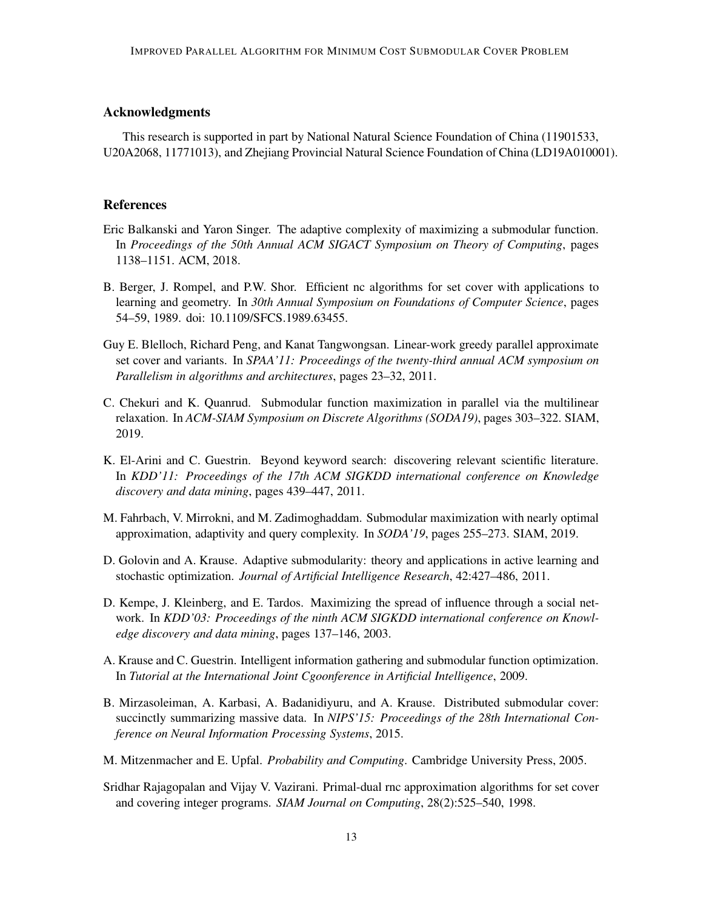### Acknowledgments

This research is supported in part by National Natural Science Foundation of China (11901533, U20A2068, 11771013), and Zhejiang Provincial Natural Science Foundation of China (LD19A010001).

# **References**

- <span id="page-12-6"></span>Eric Balkanski and Yaron Singer. The adaptive complexity of maximizing a submodular function. In *Proceedings of the 50th Annual ACM SIGACT Symposium on Theory of Computing*, pages 1138–1151. ACM, 2018.
- <span id="page-12-8"></span>B. Berger, J. Rompel, and P.W. Shor. Efficient nc algorithms for set cover with applications to learning and geometry. In *30th Annual Symposium on Foundations of Computer Science*, pages 54–59, 1989. doi: 10.1109/SFCS.1989.63455.
- <span id="page-12-10"></span>Guy E. Blelloch, Richard Peng, and Kanat Tangwongsan. Linear-work greedy parallel approximate set cover and variants. In *SPAA'11: Proceedings of the twenty-third annual ACM symposium on Parallelism in algorithms and architectures*, pages 23–32, 2011.
- <span id="page-12-7"></span>C. Chekuri and K. Quanrud. Submodular function maximization in parallel via the multilinear relaxation. In *ACM-SIAM Symposium on Discrete Algorithms (SODA19)*, pages 303–322. SIAM, 2019.
- <span id="page-12-3"></span>K. El-Arini and C. Guestrin. Beyond keyword search: discovering relevant scientific literature. In *KDD'11: Proceedings of the 17th ACM SIGKDD international conference on Knowledge discovery and data mining*, pages 439–447, 2011.
- <span id="page-12-5"></span>M. Fahrbach, V. Mirrokni, and M. Zadimoghaddam. Submodular maximization with nearly optimal approximation, adaptivity and query complexity. In *SODA'19*, pages 255–273. SIAM, 2019.
- <span id="page-12-2"></span>D. Golovin and A. Krause. Adaptive submodularity: theory and applications in active learning and stochastic optimization. *Journal of Artificial Intelligence Research*, 42:427–486, 2011.
- <span id="page-12-0"></span>D. Kempe, J. Kleinberg, and E. Tardos. Maximizing the spread of influence through a social network. In *KDD'03: Proceedings of the ninth ACM SIGKDD international conference on Knowledge discovery and data mining*, pages 137–146, 2003.
- <span id="page-12-1"></span>A. Krause and C. Guestrin. Intelligent information gathering and submodular function optimization. In *Tutorial at the International Joint Cgoonference in Artificial Intelligence*, 2009.
- <span id="page-12-4"></span>B. Mirzasoleiman, A. Karbasi, A. Badanidiyuru, and A. Krause. Distributed submodular cover: succinctly summarizing massive data. In *NIPS'15: Proceedings of the 28th International Conference on Neural Information Processing Systems*, 2015.
- <span id="page-12-11"></span>M. Mitzenmacher and E. Upfal. *Probability and Computing*. Cambridge University Press, 2005.
- <span id="page-12-9"></span>Sridhar Rajagopalan and Vijay V. Vazirani. Primal-dual rnc approximation algorithms for set cover and covering integer programs. *SIAM Journal on Computing*, 28(2):525–540, 1998.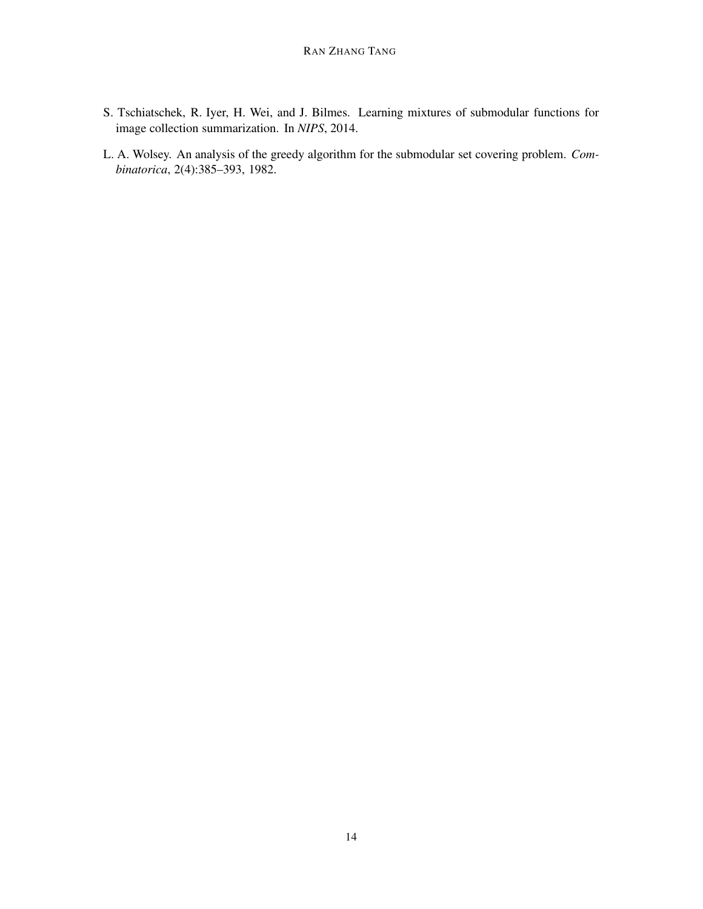- <span id="page-13-0"></span>S. Tschiatschek, R. Iyer, H. Wei, and J. Bilmes. Learning mixtures of submodular functions for image collection summarization. In *NIPS*, 2014.
- <span id="page-13-1"></span>L. A. Wolsey. An analysis of the greedy algorithm for the submodular set covering problem. *Combinatorica*, 2(4):385–393, 1982.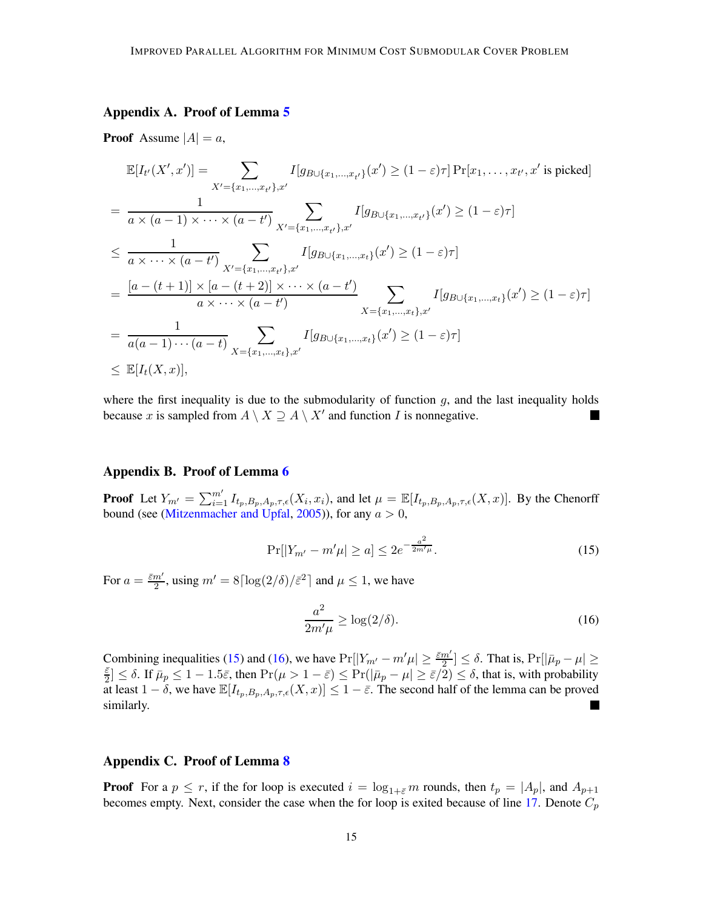# Appendix A. Proof of Lemma [5](#page-6-1)

**Proof** Assume  $|A| = a$ ,

$$
\mathbb{E}[I_{t'}(X',x')] = \sum_{X'=\{x_1,...,x_{t'}\},x'} I[g_{B\cup\{x_1,...,x_{t'}\}}(x') \ge (1-\varepsilon)\tau] \Pr[x_1,...,x_{t'},x' \text{ is picked}]
$$
\n
$$
= \frac{1}{a \times (a-1) \times \cdots \times (a-t')} \sum_{X'=\{x_1,...,x_{t'}\},x'} I[g_{B\cup\{x_1,...,x_{t'}\}}(x') \ge (1-\varepsilon)\tau]
$$
\n
$$
\le \frac{1}{a \times \cdots \times (a-t')} \sum_{X'=\{x_1,...,x_{t'}\},x'} I[g_{B\cup\{x_1,...,x_{t}\}}(x') \ge (1-\varepsilon)\tau]
$$
\n
$$
= \frac{[a-(t+1)] \times [a-(t+2)] \times \cdots \times (a-t')}{a \times \cdots \times (a-t')} \sum_{X=\{x_1,...,x_{t}\},x'} I[g_{B\cup\{x_1,...,x_{t}\}}(x') \ge (1-\varepsilon)\tau]
$$
\n
$$
= \frac{1}{a(a-1)\cdots(a-t)} \sum_{X=\{x_1,...,x_{t}\},x'} I[g_{B\cup\{x_1,...,x_{t}\}}(x') \ge (1-\varepsilon)\tau]
$$
\n
$$
\le \mathbb{E}[I_{t}(X,x)],
$$

where the first inequality is due to the submodularity of function  $g$ , and the last inequality holds because x is sampled from  $A \setminus X \supseteq A \setminus X'$  and function I is nonnegative. **In the first** 

#### Appendix B. Proof of Lemma [6](#page-6-2)

**Proof** Let  $Y_{m'} = \sum_{i=1}^{m'} I_{t_p, B_p, A_p, \tau, \epsilon}(X_i, x_i)$ , and let  $\mu = \mathbb{E}[I_{t_p, B_p, A_p, \tau, \epsilon}(X, x)]$ . By the Chenorff bound (see [\(Mitzenmacher and Upfal,](#page-12-11) [2005](#page-12-11))), for any  $a > 0$ ,

<span id="page-14-0"></span>
$$
\Pr[|Y_{m'} - m'\mu| \ge a] \le 2e^{-\frac{a^2}{2m'\mu}}.\tag{15}
$$

For  $a = \frac{\bar{\varepsilon}m'}{2}$  $\frac{m'}{2}$ , using  $m' = 8\lceil \log(2/\delta)/\bar{\varepsilon}^2 \rceil$  and  $\mu \le 1$ , we have

<span id="page-14-1"></span>
$$
\frac{a^2}{2m'\mu} \ge \log(2/\delta). \tag{16}
$$

Combining inequalities [\(15\)](#page-14-0) and [\(16\)](#page-14-1), we have  $Pr[|Y_{m'} - m'\mu| \ge \frac{\bar{\varepsilon}m'}{2}]$  $\left[\frac{m'}{2}\right] \leq \delta$ . That is,  $\Pr[|\bar{\mu}_p - \mu| \geq$ ε¯  $\frac{\varepsilon}{2} \leq \delta$ . If  $\bar{\mu}_p \leq 1 - 1.5\bar{\varepsilon}$ , then  $\Pr(\mu > 1 - \bar{\varepsilon}) \leq \Pr(|\bar{\mu}_p - \mu| \geq \bar{\varepsilon}/2) \leq \delta$ , that is, with probability at least  $1 - \delta$ , we have  $\mathbb{E}[I_{t_p,B_p,A_p,\tau,\epsilon}(X,x)] \leq 1 - \bar{\varepsilon}$ . The second half of the lemma can be proved similarly.

#### Appendix C. Proof of Lemma [8](#page-7-1)

**Proof** For a  $p \le r$ , if the for loop is executed  $i = \log_{1+\bar{\varepsilon}} m$  rounds, then  $t_p = |A_p|$ , and  $A_{p+1}$ becomes empty. Next, consider the case when the for loop is exited because of line [17.](#page-5-0) Denote  $C_p$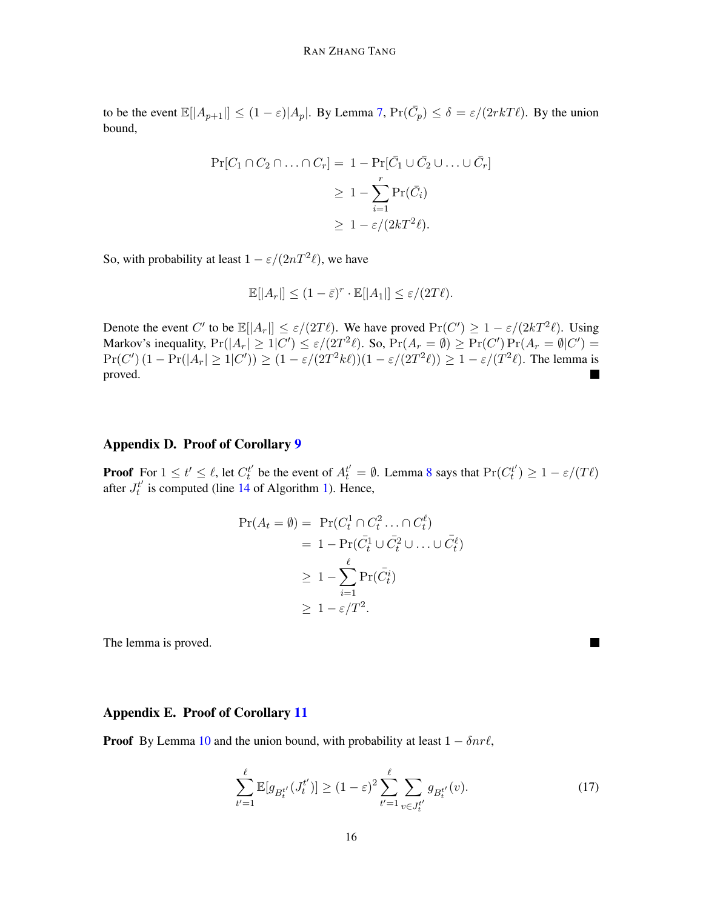to be the event  $\mathbb{E}[|A_{p+1}|] \le (1 - \varepsilon)|A_p|$ . By Lemma [7,](#page-7-2)  $\Pr(\bar{C}_p) \le \delta = \varepsilon/(2rkT\ell)$ . By the union bound,

$$
\Pr[C_1 \cap C_2 \cap \ldots \cap C_r] = 1 - \Pr[\bar{C}_1 \cup \bar{C}_2 \cup \ldots \cup \bar{C}_r]
$$
  
\n
$$
\geq 1 - \sum_{i=1}^r \Pr(\bar{C}_i)
$$
  
\n
$$
\geq 1 - \varepsilon/(2kT^2\ell).
$$

So, with probability at least  $1 - \varepsilon/(2nT^2\ell)$ , we have

$$
\mathbb{E}[|A_r|] \le (1 - \bar{\varepsilon})^r \cdot \mathbb{E}[|A_1|] \le \varepsilon/(2T\ell).
$$

Denote the event C' to be  $\mathbb{E}[|A_r|] \leq \varepsilon/(2T\ell)$ . We have proved  $Pr(C') \geq 1 - \varepsilon/(2kT^2\ell)$ . Using Markov's inequality,  $Pr(|A_r| \geq 1|C') \leq \varepsilon/(2T^2\ell)$ . So,  $Pr(A_r = \emptyset) \geq Pr(C') Pr(A_r = \emptyset|C') =$  $Pr(C') (1 - Pr(|A_r| \ge 1 | C')) \ge (1 - \varepsilon/(2T^2 k \ell))(1 - \varepsilon/(2T^2 \ell)) \ge 1 - \varepsilon/(T^2 \ell)$ . The lemma is proved.

# Appendix D. Proof of Corollary [9](#page-8-0)

**Proof** For  $1 \le t' \le \ell$ , let  $C_t^{t'}$  be the event of  $A_t^{t'} = \emptyset$ . Lemma [8](#page-7-1) says that  $Pr(C_t^{t'}) \ge 1 - \varepsilon/(T\ell)$ after  $J_t^{t'}$  is computed (line [14](#page-4-0) of Algorithm [1\)](#page-4-0). Hence,

$$
\begin{aligned} \Pr(A_t = \emptyset) &= \Pr(C_t^1 \cap C_t^2 \dots \cap C_t^\ell) \\ &= 1 - \Pr(\bar{C}_t^1 \cup \bar{C}_t^2 \cup \dots \cup \bar{C}_t^\ell) \\ &\ge 1 - \sum_{i=1}^\ell \Pr(\bar{C}_t^i) \\ &\ge 1 - \varepsilon / T^2. \end{aligned}
$$

The lemma is proved.

### Appendix E. Proof of Corollary [11](#page-9-2)

**Proof** By Lemma [10](#page-8-6) and the union bound, with probability at least  $1 - \delta n r \ell$ ,

<span id="page-15-0"></span>
$$
\sum_{t'=1}^{\ell} \mathbb{E}[g_{B_t^{t'}}(J_t^{t'})] \ge (1-\varepsilon)^2 \sum_{t'=1}^{\ell} \sum_{v \in J_t^{t'}} g_{B_t^{t'}}(v). \tag{17}
$$

 $\blacksquare$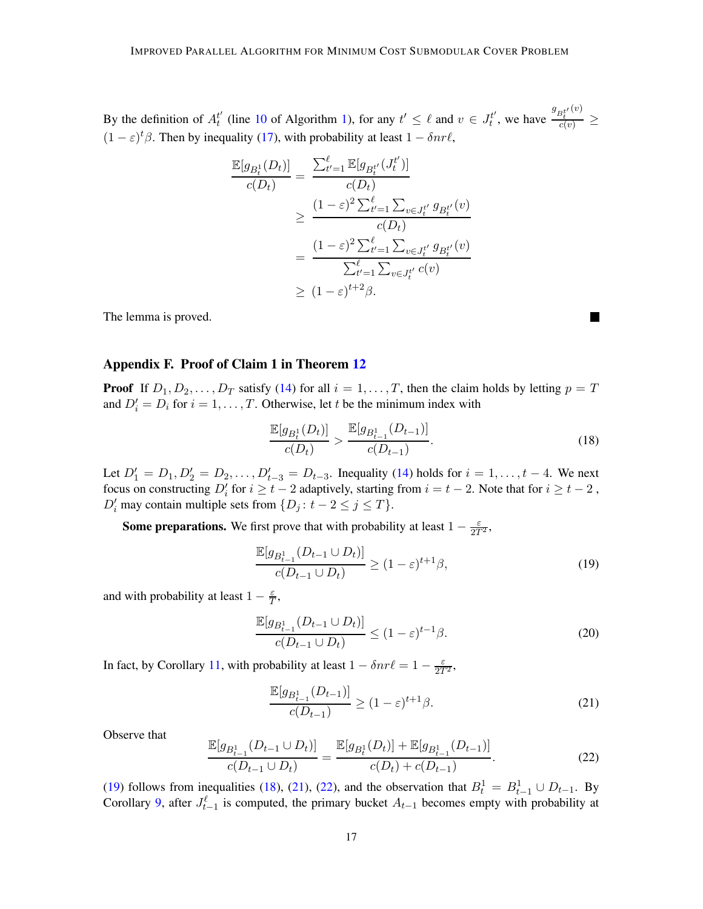By the definition of  $A_t^{t'}$  (line [10](#page-4-0) of Algorithm [1\)](#page-4-0), for any  $t' \leq \ell$  and  $v \in J_t^{t'}$ , we have  $g_{B_t^{t'}}(v)$  $\frac{\partial_t}{c(v)} \geq$  $(1 - \varepsilon)^t \beta$ . Then by inequality [\(17\)](#page-15-0), with probability at least  $1 - \delta n r \ell$ ,

$$
\frac{\mathbb{E}[g_{B_t^1}(D_t)]}{c(D_t)} = \frac{\sum_{t'=1}^{\ell} \mathbb{E}[g_{B_t^{t'}}(J_t^{t'})]}{c(D_t)}
$$
\n
$$
\geq \frac{(1-\varepsilon)^2 \sum_{t'=1}^{\ell} \sum_{v \in J_t^{t'}} g_{B_t^{t'}}(v)}{c(D_t)}
$$
\n
$$
= \frac{(1-\varepsilon)^2 \sum_{t'=1}^{\ell} \sum_{v \in J_t^{t'}} g_{B_t^{t'}}(v)}{\sum_{t'=1}^{\ell} \sum_{v \in J_t^{t'}} c(v)}
$$
\n
$$
\geq (1-\varepsilon)^{t+2} \beta.
$$

The lemma is proved.

#### Appendix F. Proof of Claim 1 in Theorem [12](#page-9-3)

**Proof** If  $D_1, D_2, \ldots, D_T$  satisfy [\(14\)](#page-10-1) for all  $i = 1, \ldots, T$ , then the claim holds by letting  $p = T$ and  $D'_i = D_i$  for  $i = 1, ..., T$ . Otherwise, let t be the minimum index with

<span id="page-16-1"></span>
$$
\frac{\mathbb{E}[g_{B_t^1}(D_t)]}{c(D_t)} > \frac{\mathbb{E}[g_{B_{t-1}^1}(D_{t-1})]}{c(D_{t-1})}.
$$
\n(18)

ш

Let  $D'_1 = D_1, D'_2 = D_2, \ldots, D'_{t-3} = D_{t-3}$ . Inequality [\(14\)](#page-10-1) holds for  $i = 1, \ldots, t-4$ . We next focus on constructing  $D'_i$  for  $i \geq t - 2$  adaptively, starting from  $i = t - 2$ . Note that for  $i \geq t - 2$ ,  $D'_i$  may contain multiple sets from  $\{D_j : t - 2 \le j \le T\}$ .

**Some preparations.** We first prove that with probability at least  $1 - \frac{\varepsilon}{2T^2}$ ,

<span id="page-16-0"></span>
$$
\frac{\mathbb{E}[g_{B_{t-1}^1}(D_{t-1}\cup D_t)]}{c(D_{t-1}\cup D_t)} \ge (1-\varepsilon)^{t+1}\beta,
$$
\n(19)

and with probability at least  $1 - \frac{\varepsilon}{7}$  $\frac{\varepsilon}{T},$ 

<span id="page-16-4"></span>
$$
\frac{\mathbb{E}[g_{B_{t-1}^1}(D_{t-1}\cup D_t)]}{c(D_{t-1}\cup D_t)} \le (1-\varepsilon)^{t-1}\beta.
$$
\n(20)

In fact, by Corollary [11,](#page-9-2) with probability at least  $1 - \delta n r \ell = 1 - \frac{\varepsilon}{2T^2}$ ,

<span id="page-16-2"></span>
$$
\frac{\mathbb{E}[g_{B_{t-1}^1}(D_{t-1})]}{c(D_{t-1})} \ge (1-\varepsilon)^{t+1}\beta.
$$
\n(21)

Observe that

<span id="page-16-3"></span>
$$
\frac{\mathbb{E}[g_{B_{t-1}^1}(D_{t-1}\cup D_t)]}{c(D_{t-1}\cup D_t)} = \frac{\mathbb{E}[g_{B_t^1}(D_t)] + \mathbb{E}[g_{B_{t-1}^1}(D_{t-1})]}{c(D_t) + c(D_{t-1})}.
$$
\n(22)

[\(19\)](#page-16-0) follows from inequalities [\(18\)](#page-16-1), [\(21\)](#page-16-2), [\(22\)](#page-16-3), and the observation that  $B_t^1 = B_{t-1}^1 \cup D_{t-1}$ . By Corollary [9,](#page-8-0) after  $J_{t-1}^{\ell}$  is computed, the primary bucket  $A_{t-1}$  becomes empty with probability at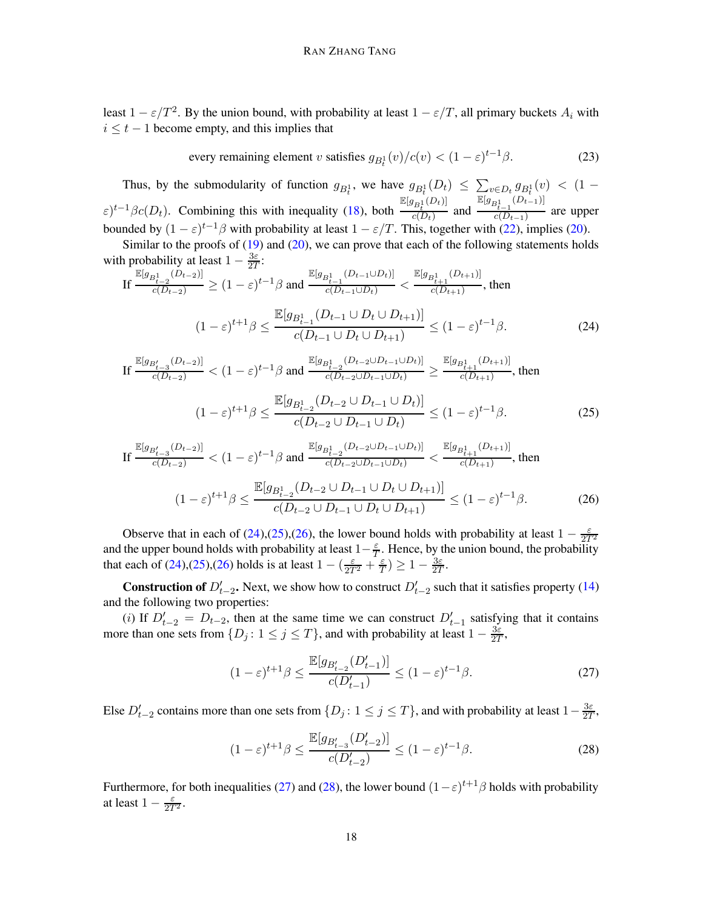least  $1 - \varepsilon/T^2$ . By the union bound, with probability at least  $1 - \varepsilon/T$ , all primary buckets  $A_i$  with  $i \leq t - 1$  become empty, and this implies that

<span id="page-17-5"></span>every remaining element *v* satisfies 
$$
g_{B_t^1}(v)/c(v) < (1 - \varepsilon)^{t-1}\beta
$$
. (23)

Thus, by the submodularity of function  $g_{B_t^1}$ , we have  $g_{B_t^1}(D_t) \leq \sum_{v \in D_t} g_{B_t^1}(v) < (1 \varepsilon$ )<sup>t-1</sup> $\beta$ c(D<sub>t</sub>). Combining this with inequality [\(18\)](#page-16-1), both  $\frac{\mathbb{E}[g_{B_t^1}(D_t)]}{c(D_t)}$  $\frac{P_t}{c(D_t)}$  and  $\mathbb{E}[g_{B_{t-1}^1}(D_{t-1})]$  $\frac{c_{t-1}}{c(D_{t-1})}$  are upper bounded by  $(1 - \varepsilon)^{t-1}\beta$  with probability at least  $1 - \varepsilon/T$ . This, together with [\(22\)](#page-16-3), implies [\(20\)](#page-16-4).

Similar to the proofs of [\(19\)](#page-16-0) and [\(20\)](#page-16-4), we can prove that each of the following statements holds with probability at least  $1 - \frac{3\varepsilon}{27}$  $\frac{3\varepsilon}{2T}$ :

If 
$$
\frac{\mathbb{E}[g_{B_{t-2}^1}(D_{t-2})]}{c(D_{t-2})} \ge (1-\varepsilon)^{t-1}\beta
$$
 and  $\frac{\mathbb{E}[g_{B_{t-1}^1}(D_{t-1}\cup D_t)]}{c(D_{t-1}\cup D_t)} < \frac{\mathbb{E}[g_{B_{t+1}^1}(D_{t+1})]}{c(D_{t+1})}$ , then  

$$
(1-\varepsilon)^{t+1}\beta \le \frac{\mathbb{E}[g_{B_{t-1}^1}(D_{t-1}\cup D_t\cup D_{t+1})]}{c(D_{t-1}\cup D_t\cup D_{t+1})} \le (1-\varepsilon)^{t-1}\beta.
$$
 (24)

<span id="page-17-0"></span>
$$
\text{If } \frac{\mathbb{E}[g_{B_{t-3}'}(D_{t-2})]}{c(D_{t-2})} < (1-\varepsilon)^{t-1}\beta \text{ and } \frac{\mathbb{E}[g_{B_{t-2}^1}(D_{t-2}\cup D_{t-1}\cup D_t)]}{c(D_{t-2}\cup D_{t-1}\cup D_t)} \ge \frac{\mathbb{E}[g_{B_{t+1}^1}(D_{t+1})]}{c(D_{t+1})}, \text{ then}
$$
\n
$$
(1-\varepsilon)^{t+1}\beta < \frac{\mathbb{E}[g_{B_{t-2}^1}(D_{t-2}\cup D_{t-1}\cup D_t)]}{\mathbb{E}[g_{B_{t-2}^1}(D_{t-2}\cup D_{t-1}\cup D_t)]} < (1-\varepsilon)^{t-1}\beta
$$

<span id="page-17-1"></span>
$$
(1 - \varepsilon)^{t+1} \beta \le \frac{D_{B_{t-2}} \sqrt{t-2} - t - 1 - t}{c(D_{t-2} \cup D_{t-1} \cup D_t)} \le (1 - \varepsilon)^{t-1} \beta.
$$
 (25)

<span id="page-17-2"></span>
$$
\text{If } \frac{\mathbb{E}[g_{B_{t-3}'}(D_{t-2})]}{c(D_{t-2})} < (1-\varepsilon)^{t-1}\beta \text{ and } \frac{\mathbb{E}[g_{B_{t-2}^1}(D_{t-2}\cup D_{t-1}\cup D_t)]}{c(D_{t-2}\cup D_{t-1}\cup D_t)} < \frac{\mathbb{E}[g_{B_{t+1}^1}(D_{t+1})]}{c(D_{t+1})}, \text{ then}
$$
\n
$$
(1-\varepsilon)^{t+1}\beta \le \frac{\mathbb{E}[g_{B_{t-2}^1}(D_{t-2}\cup D_{t-1}\cup D_t\cup D_{t+1})]}{c(D_{t-2}\cup D_{t-1}\cup D_t\cup D_{t+1})} \le (1-\varepsilon)^{t-1}\beta. \tag{26}
$$

Observe that in each of [\(24\)](#page-17-0),[\(25\)](#page-17-1),[\(26\)](#page-17-2), the lower bound holds with probability at least  $1 - \frac{\varepsilon}{2T^2}$ and the upper bound holds with probability at least  $1-\frac{\varepsilon}{7}$  $\frac{\varepsilon}{T}$ . Hence, by the union bound, the probability that each of [\(24\)](#page-17-0),[\(25\)](#page-17-1),[\(26\)](#page-17-2) holds is at least  $1 - (\frac{\varepsilon}{2T^2} + \frac{\varepsilon}{T})$  $(\frac{\varepsilon}{T}) \geq 1 - \frac{3\varepsilon}{2T}$  $\frac{3\varepsilon}{2T}.$ 

**Construction of**  $D'_{t-2}$ . Next, we show how to construct  $D'_{t-2}$  such that it satisfies property [\(14\)](#page-10-1) and the following two properties:

(i) If  $D'_{t-2} = D_{t-2}$ , then at the same time we can construct  $D'_{t-1}$  satisfying that it contains more than one sets from  $\{D_j : 1 \le j \le T\}$ , and with probability at least  $1 - \frac{3\varepsilon}{2T}$  $\frac{3\varepsilon}{2T},$ 

<span id="page-17-3"></span>
$$
(1 - \varepsilon)^{t+1} \beta \le \frac{\mathbb{E}[g_{B_{t-2}'}(D_{t-1}')] }{c(D_{t-1}') } \le (1 - \varepsilon)^{t-1} \beta.
$$
 (27)

Else  $D'_{t-2}$  contains more than one sets from  $\{D_j: 1 \le j \le T\}$ , and with probability at least  $1-\frac{3\varepsilon}{2T}$  $\frac{3\varepsilon}{2T},$ 

<span id="page-17-4"></span>
$$
(1 - \varepsilon)^{t+1} \beta \le \frac{\mathbb{E}[g_{B_{t-3}'}(D_{t-2}')] }{c(D_{t-2}') } \le (1 - \varepsilon)^{t-1} \beta.
$$
 (28)

Furthermore, for both inequalities [\(27\)](#page-17-3) and [\(28\)](#page-17-4), the lower bound  $(1 - \varepsilon)^{t+1} \beta$  holds with probability at least  $1 - \frac{\varepsilon}{2T^2}$ .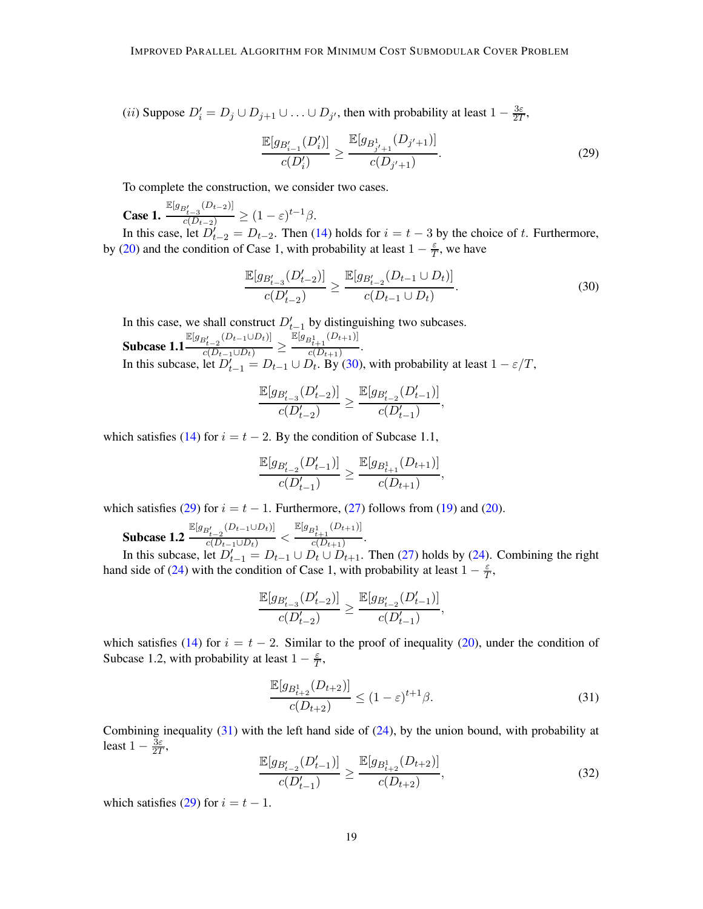(*ii*) Suppose  $D'_i = D_j \cup D_{j+1} \cup ... \cup D_{j'}$ , then with probability at least  $1 - \frac{3\varepsilon}{2T}$  $\frac{3\varepsilon}{2T},$ 

<span id="page-18-1"></span>
$$
\frac{\mathbb{E}[g_{B'_{i-1}}(D'_{i})]}{c(D'_{i})} \ge \frac{\mathbb{E}[g_{B^{1}_{j'+1}}(D_{j'+1})]}{c(D_{j'+1})}.
$$
\n(29)

To complete the construction, we consider two cases.

Case 1.  $\frac{\mathbb{E}[g_{B'_{t-3}}(D_{t-2})]}{c(D_{t-2})} \geq (1-\varepsilon)^{t-1}\beta.$ 

In this case, let  $D_{t-2}^j = D_{t-2}$ . Then [\(14\)](#page-10-1) holds for  $i = t - 3$  by the choice of t. Furthermore, by [\(20\)](#page-16-4) and the condition of Case 1, with probability at least  $1 - \frac{\varepsilon}{7}$  $\frac{\varepsilon}{T}$ , we have

<span id="page-18-0"></span>
$$
\frac{\mathbb{E}[g_{B_{t-3}'}(D_{t-2}')] }{c(D_{t-2}')} \ge \frac{\mathbb{E}[g_{B_{t-2}'}(D_{t-1} \cup D_t)]}{c(D_{t-1} \cup D_t)}.
$$
\n(30)

In this case, we shall construct  $D'_{t-1}$  by distinguishing two subcases.

Subcase 1.1  $\frac{\mathbb{E}[g_{B_{t-2}'}(D_{t-1}\cup D_t)]}{c(D_{t-1}\cup D_t)} \geq$  $\mathbb{E}[g_{B_{t+1}^1}(D_{t+1})]$  $\frac{c(D_{t+1})}{c(D_{t+1})}$ . In this subcase, let  $D'_{t-1} = D_{t-1} \cup D_t$ . By [\(30\)](#page-18-0), with probability at least  $1 - \varepsilon/T$ ,

$$
\frac{\mathbb{E}[g_{B'_{t-3}}(D'_{t-2})]}{c(D'_{t-2})}\geq \frac{\mathbb{E}[g_{B'_{t-2}}(D'_{t-1})]}{c(D'_{t-1})},
$$

which satisfies [\(14\)](#page-10-1) for  $i = t - 2$ . By the condition of Subcase 1.1,

$$
\frac{\mathbb{E}[g_{B_{t-2}'}(D_{t-1}')] }{c(D_{t-1}')}\geq \frac{\mathbb{E}[g_{B_{t+1}^1}(D_{t+1})]}{c(D_{t+1})},
$$

which satisfies [\(29\)](#page-18-1) for  $i = t - 1$ . Furthermore, [\(27\)](#page-17-3) follows from [\(19\)](#page-16-0) and [\(20\)](#page-16-4).

Subcase 1.2  $\frac{\mathbb{E}[g_{B_{t-2}'}(D_{t-1}\cup D_t)]}{c(D_{t-1}\cup D_t)} <$  $\mathbb{E}[g_{B_{t+1}^1}(D_{t+1})]$  $\frac{c(t+1)}{c(D_{t+1})}$ .

In this subcase, let  $D'_{t-1} = D_{t-1} \cup D_t \cup D_{t+1}$ . Then [\(27\)](#page-17-3) holds by [\(24\)](#page-17-0). Combining the right hand side of [\(24\)](#page-17-0) with the condition of Case 1, with probability at least  $1 - \frac{\varepsilon}{7}$  $\frac{\varepsilon}{T},$ 

$$
\frac{\mathbb{E}[g_{B'_{t-3}}(D'_{t-2})]}{c(D'_{t-2})}\geq \frac{\mathbb{E}[g_{B'_{t-2}}(D'_{t-1})]}{c(D'_{t-1})},
$$

which satisfies [\(14\)](#page-10-1) for  $i = t - 2$ . Similar to the proof of inequality [\(20\)](#page-16-4), under the condition of Subcase 1.2, with probability at least  $1 - \frac{\varepsilon}{7}$  $\frac{\varepsilon}{T},$ 

<span id="page-18-2"></span>
$$
\frac{\mathbb{E}[g_{B_{t+2}^1}(D_{t+2})]}{c(D_{t+2})} \le (1-\varepsilon)^{t+1} \beta.
$$
\n(31)

Combining inequality  $(31)$  with the left hand side of  $(24)$ , by the union bound, with probability at least  $1 - \frac{3\varepsilon}{27}$  $\frac{3\varepsilon}{2T},$ 

$$
\frac{\mathbb{E}[g_{B_{t-2}'}(D_{t-1}')] }{c(D_{t-1}')} \ge \frac{\mathbb{E}[g_{B_{t+2}^1}(D_{t+2})]}{c(D_{t+2})},
$$
\n(32)

which satisfies [\(29\)](#page-18-1) for  $i = t - 1$ .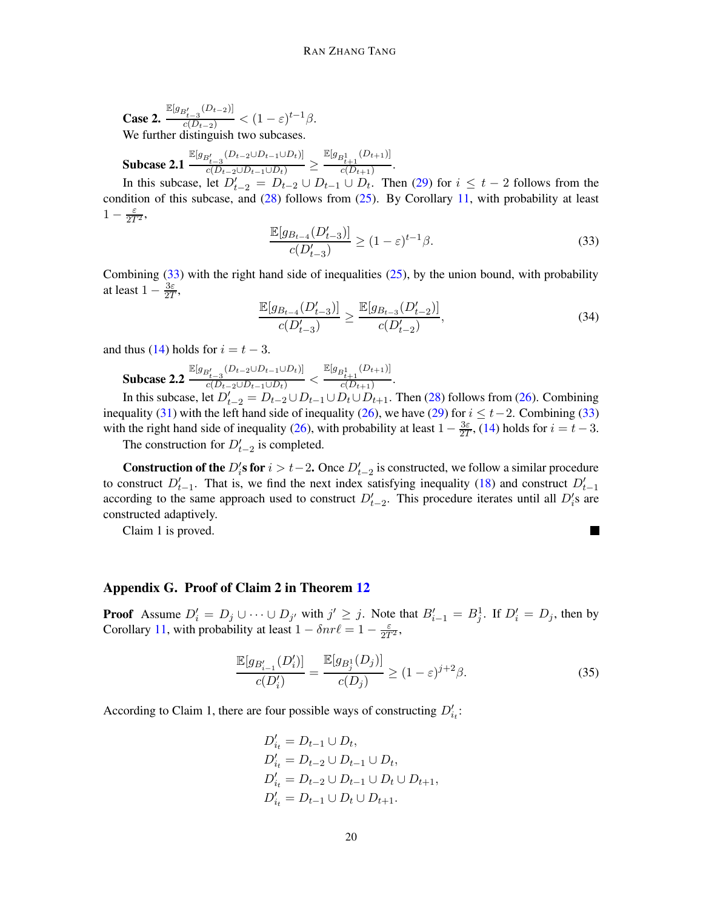Case 2.  $\frac{\mathbb{E}[g_{B'_{t-3}}(D_{t-2})]}{c(D_{t-2})} < (1-\varepsilon)^{t-1}\beta.$ We further distinguish two subcases.

Subcase 2.1  $\tfrac{\mathbb{E}[g_{B_{t-3}'}(D_{t-2}\cup D_{t-1}\cup D_t)]}{c(D_{t-2}\cup D_{t-1}\cup D_t)}\geq$  $\mathbb{E}[g_{B_{t+1}^1}(D_{t+1})]$  $\frac{c(D_{t+1})}{c(D_{t+1})}$ .

In this subcase, let  $D'_{t-2} = D_{t-2} \cup D_{t-1} \cup D_t$ . Then [\(29\)](#page-18-1) for  $i \leq t-2$  follows from the condition of this subcase, and  $(28)$  follows from  $(25)$ . By Corollary [11,](#page-9-2) with probability at least  $1-\frac{\varepsilon}{2T^2},$ 

<span id="page-19-0"></span>
$$
\frac{\mathbb{E}[g_{B_{t-4}}(D'_{t-3})]}{c(D'_{t-3})} \ge (1-\varepsilon)^{t-1}\beta.
$$
\n(33)

Combining  $(33)$  with the right hand side of inequalities  $(25)$ , by the union bound, with probability at least  $1 - \frac{3\varepsilon}{27}$  $\frac{3\varepsilon}{2T},$ 

$$
\frac{\mathbb{E}[g_{B_{t-4}}(D'_{t-3})]}{c(D'_{t-3})} \ge \frac{\mathbb{E}[g_{B_{t-3}}(D'_{t-2})]}{c(D'_{t-2})},
$$
\n(34)

and thus [\(14\)](#page-10-1) holds for  $i = t - 3$ .

Subcase 2.2  $\tfrac{\mathbb{E}[g_{B_{t-3}'}(D_{t-2}\cup D_{t-1}\cup D_t)]}{c(D_{t-2}\cup D_{t-1}\cup D_t)}<$  $\mathbb{E}[g_{B_{t+1}^1}(D_{t+1})]$  $\frac{c(t+1)}{c(D_{t+1})}$ .

In this subcase, let  $D'_{t-2} = D_{t-2} \cup D_{t-1} \cup D_t \cup D_{t+1}$ . Then [\(28\)](#page-17-4) follows from [\(26\)](#page-17-2). Combining inequality [\(31\)](#page-18-2) with the left hand side of inequality [\(26\)](#page-17-2), we have [\(29\)](#page-18-1) for  $i \le t-2$ . Combining [\(33\)](#page-19-0) with the right hand side of inequality [\(26\)](#page-17-2), with probability at least  $1 - \frac{3\varepsilon}{27}$  $\frac{3\varepsilon}{2T}$ , [\(14\)](#page-10-1) holds for  $i = t - 3$ .

The construction for  $D'_{t-2}$  is completed.

**Construction of the**  $D_i$ 's for  $i > t-2$ . Once  $D_{t-2}$  is constructed, we follow a similar procedure to construct  $D'_{t-1}$ . That is, we find the next index satisfying inequality [\(18\)](#page-16-1) and construct  $D'_{t-1}$ according to the same approach used to construct  $D'_{t-2}$ . This procedure iterates until all  $D'_{i}$ s are constructed adaptively.

Claim 1 is proved.

### Appendix G. Proof of Claim 2 in Theorem [12](#page-9-3)

**Proof** Assume  $D'_i = D_j \cup \cdots \cup D_{j'}$  with  $j' \geq j$ . Note that  $B'_{i-1} = B_j^1$ . If  $D'_i = D_j$ , then by Corollary [11,](#page-9-2) with probability at least  $1 - \delta nr\ell = 1 - \frac{\varepsilon}{2T^2}$ ,

<span id="page-19-1"></span>
$$
\frac{\mathbb{E}[g_{B'_{i-1}}(D'_i)]}{c(D'_i)} = \frac{\mathbb{E}[g_{B^1_j}(D_j)]}{c(D_j)} \ge (1-\varepsilon)^{j+2}\beta.
$$
\n(35)

 $\Box$ 

According to Claim 1, there are four possible ways of constructing  $D'_{i_t}$ :

$$
D'_{i_t} = D_{t-1} \cup D_t,
$$
  
\n
$$
D'_{i_t} = D_{t-2} \cup D_{t-1} \cup D_t,
$$
  
\n
$$
D'_{i_t} = D_{t-2} \cup D_{t-1} \cup D_t \cup D_{t+1},
$$
  
\n
$$
D'_{i_t} = D_{t-1} \cup D_t \cup D_{t+1}.
$$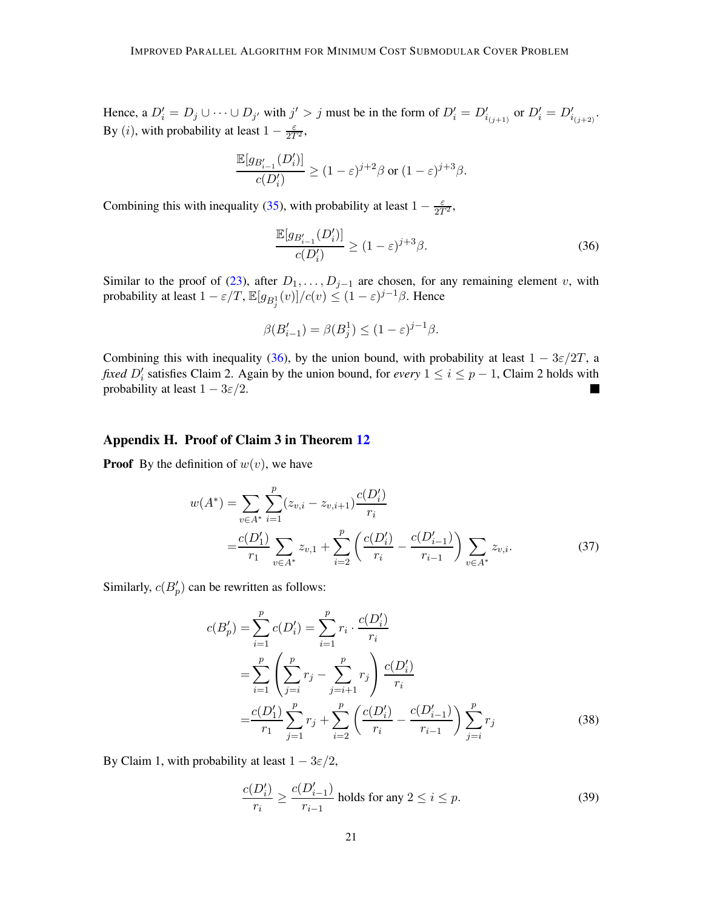Hence, a  $D'_i = D_j \cup \cdots \cup D_{j'}$  with  $j' > j$  must be in the form of  $D'_i = D'_{i_{(j+1)}}$  or  $D'_i = D'_{i_{(j+2)}}$ . By (*i*), with probability at least  $1 - \frac{\varepsilon}{2T^2}$ ,

$$
\frac{\mathbb{E}[g_{B_{i-1}'}(D_i')]}{c(D_i')} \geq (1-\varepsilon)^{j+2}\beta \text{ or } (1-\varepsilon)^{j+3}\beta.
$$

Combining this with inequality [\(35\)](#page-19-1), with probability at least  $1 - \frac{\varepsilon}{2T^2}$ ,

<span id="page-20-0"></span>
$$
\frac{\mathbb{E}[g_{B'_{i-1}}(D'_i)]}{c(D'_i)} \ge (1-\varepsilon)^{j+3}\beta.
$$
\n(36)

Similar to the proof of [\(23\)](#page-17-5), after  $D_1, \ldots, D_{j-1}$  are chosen, for any remaining element v, with probability at least  $1 - \varepsilon/T$ ,  $\mathbb{E}[g_{B_j^1}(v)]/c(v) \leq (1 - \varepsilon)^{j-1}\beta$ . Hence

$$
\beta(B'_{i-1}) = \beta(B_j^1) \le (1 - \varepsilon)^{j-1}\beta.
$$

Combining this with inequality [\(36\)](#page-20-0), by the union bound, with probability at least  $1 - 3\varepsilon/2T$ , a *fixed*  $D'_i$  satisfies Claim 2. Again by the union bound, for *every*  $1 \le i \le p - 1$ , Claim 2 holds with probability at least  $1 - 3\varepsilon/2$ .  $\overline{\phantom{0}}$ 

### Appendix H. Proof of Claim 3 in Theorem [12](#page-9-3)

**Proof** By the definition of  $w(v)$ , we have

$$
w(A^*) = \sum_{v \in A^*} \sum_{i=1}^p (z_{v,i} - z_{v,i+1}) \frac{c(D_i')}{r_i}
$$
  
= 
$$
\frac{c(D_1')}{r_1} \sum_{v \in A^*} z_{v,1} + \sum_{i=2}^p \left(\frac{c(D_i')}{r_i} - \frac{c(D_{i-1}')}{r_{i-1}}\right) \sum_{v \in A^*} z_{v,i}.
$$
 (37)

Similarly,  $c(B_p')$  can be rewritten as follows:

<span id="page-20-1"></span>
$$
c(B'_{p}) = \sum_{i=1}^{p} c(D'_{i}) = \sum_{i=1}^{p} r_{i} \cdot \frac{c(D'_{i})}{r_{i}}
$$
  
= 
$$
\sum_{i=1}^{p} \left( \sum_{j=i}^{p} r_{j} - \sum_{j=i+1}^{p} r_{j} \right) \frac{c(D'_{i})}{r_{i}}
$$
  
= 
$$
\frac{c(D'_{1})}{r_{1}} \sum_{j=1}^{p} r_{j} + \sum_{i=2}^{p} \left( \frac{c(D'_{i})}{r_{i}} - \frac{c(D'_{i-1})}{r_{i-1}} \right) \sum_{j=i}^{p} r_{j}
$$
(38)

By Claim 1, with probability at least  $1 - 3\varepsilon/2$ ,

<span id="page-20-2"></span>
$$
\frac{c(D_i')}{r_i} \ge \frac{c(D_{i-1}')}{r_{i-1}}
$$
 holds for any  $2 \le i \le p$ . (39)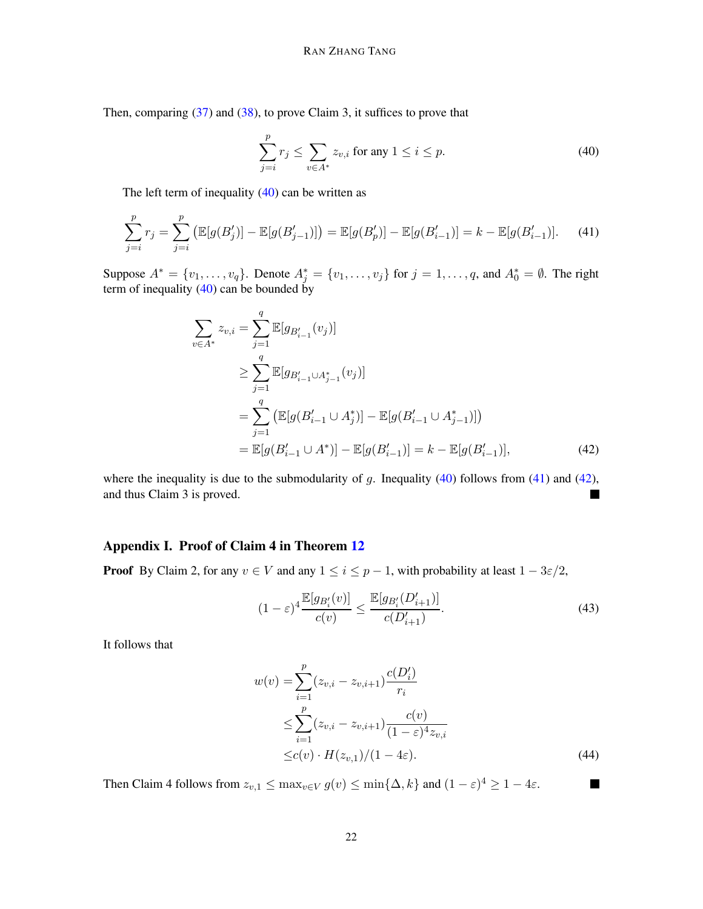Then, comparing [\(37\)](#page-20-1) and [\(38\)](#page-20-2), to prove Claim 3, it suffices to prove that

<span id="page-21-0"></span>
$$
\sum_{j=i}^{p} r_j \le \sum_{v \in A^*} z_{v,i} \text{ for any } 1 \le i \le p. \tag{40}
$$

The left term of inequality  $(40)$  can be written as

<span id="page-21-1"></span>
$$
\sum_{j=i}^{p} r_j = \sum_{j=i}^{p} \left( \mathbb{E}[g(B'_j)] - \mathbb{E}[g(B'_{j-1})] \right) = \mathbb{E}[g(B'_p)] - \mathbb{E}[g(B'_{i-1})] = k - \mathbb{E}[g(B'_{i-1})]. \tag{41}
$$

Suppose  $A^* = \{v_1, \ldots, v_q\}$ . Denote  $A_j^* = \{v_1, \ldots, v_j\}$  for  $j = 1, \ldots, q$ , and  $A_0^* = \emptyset$ . The right term of inequality  $(40)$  can be bounded by

$$
\sum_{v \in A^*} z_{v,i} = \sum_{j=1}^q \mathbb{E}[g_{B'_{i-1}}(v_j)]
$$
\n
$$
\geq \sum_{j=1}^q \mathbb{E}[g_{B'_{i-1} \cup A^*_{j-1}}(v_j)]
$$
\n
$$
= \sum_{j=1}^q \left( \mathbb{E}[g(B'_{i-1} \cup A^*_{j})] - \mathbb{E}[g(B'_{i-1} \cup A^*_{j-1})] \right)
$$
\n
$$
= \mathbb{E}[g(B'_{i-1} \cup A^*)] - \mathbb{E}[g(B'_{i-1})] = k - \mathbb{E}[g(B'_{i-1})],
$$
\n(42)

where the inequality is due to the submodularity of g. Inequality  $(40)$  follows from  $(41)$  and  $(42)$ , and thus Claim 3 is proved. П

### Appendix I. Proof of Claim 4 in Theorem [12](#page-9-3)

**Proof** By Claim 2, for any  $v \in V$  and any  $1 \le i \le p - 1$ , with probability at least  $1 - 3\varepsilon/2$ ,

$$
(1 - \varepsilon)^4 \frac{\mathbb{E}[g_{B_i'}(v)]}{c(v)} \le \frac{\mathbb{E}[g_{B_i'}(D_{i+1}')]}{c(D_{i+1}')}.
$$
\n(43)

It follows that

$$
w(v) = \sum_{i=1}^{p} (z_{v,i} - z_{v,i+1}) \frac{c(D'_i)}{r_i}
$$
  
\n
$$
\leq \sum_{i=1}^{p} (z_{v,i} - z_{v,i+1}) \frac{c(v)}{(1 - \varepsilon)^4 z_{v,i}}
$$
  
\n
$$
\leq c(v) \cdot H(z_{v,1}) / (1 - 4\varepsilon).
$$
 (44)

<span id="page-21-2"></span> $\blacksquare$ 

Then Claim 4 follows from  $z_{v,1} \le \max_{v \in V} g(v) \le \min\{\Delta, k\}$  and  $(1 - \varepsilon)^4 \ge 1 - 4\varepsilon$ .